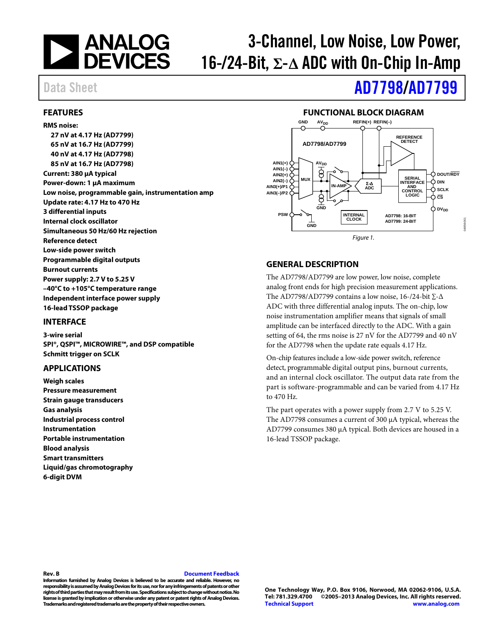

# 3-Channel, Low Noise, Low Power, 16-/24-Bit, **Σ**-**Δ** ADC with On-Chip In-Amp

# Data Sheet **[AD7798/](http://www.analog.com/AD7798?src=AD7798.pdf)[AD7799](http://www.analog.com/AD7799?src=AD7799.pdf)**

#### <span id="page-0-0"></span>**FEATURES**

#### **RMS noise:**

**27 nV at 4.17 Hz (AD7799) 65 nV at 16.7 Hz (AD7799) 40 nV at 4.17 Hz (AD7798) 85 nV at 16.7 Hz (AD7798) Current: 380 µA typical Power-down: 1 µA maximum Low noise, programmable gain, instrumentation amp Update rate: 4.17 Hz to 470 Hz 3 differential inputs Internal clock oscillator Simultaneous 50 Hz/60 Hz rejection Reference detect Low-side power switch Programmable digital outputs Burnout currents Power supply: 2.7 V to 5.25 V –40°C to +105°C temperature range Independent interface power supply 16-lead TSSOP package**

#### <span id="page-0-1"></span>**INTERFACE**

**3-wire serial SPI®, QSPI™, MICROWIRE™, and DSP compatible Schmitt trigger on SCLK**

#### <span id="page-0-2"></span>**APPLICATIONS**

**Weigh scales Pressure measurement Strain gauge transducers Gas analysis Industrial process control Instrumentation Portable instrumentation Blood analysis Smart transmitters Liquid/gas chromotography 6-digit DVM**

### **FUNCTIONAL BLOCK DIAGRAM**

<span id="page-0-3"></span>

### <span id="page-0-4"></span>**GENERAL DESCRIPTION**

The AD7798/AD7799 are low power, low noise, complete analog front ends for high precision measurement applications. The AD7798/AD7799 contains a low noise, 16-/24-bit ∑-∆ ADC with three differential analog inputs. The on-chip, low noise instrumentation amplifier means that signals of small amplitude can be interfaced directly to the ADC. With a gain setting of 64, the rms noise is 27 nV for the AD7799 and 40 nV for the AD7798 when the update rate equals 4.17 Hz.

On-chip features include a low-side power switch, reference detect, programmable digital output pins, burnout currents, and an internal clock oscillator. The output data rate from the part is software-programmable and can be varied from 4.17 Hz to 470 Hz.

The part operates with a power supply from 2.7 V to 5.25 V. The AD7798 consumes a current of 300 µA typical, whereas the AD7799 consumes 380 µA typical. Both devices are housed in a 16-lead TSSOP package.

#### **Rev. B [Document Feedback](https://form.analog.com/Form_Pages/feedback/documentfeedback.aspx?doc=AD7798_7799.pdf&product=AD7798%20AD7799&rev=B)**

**Information furnished by Analog Devices is believed to be accurate and reliable. However, no**  responsibility is assumed by Analog Devices for its use, nor for any infringements of patents or other **rights of third parties that may result from its use. Specifications subject to change without notice. No license is granted by implication or otherwise under any patent or patent rights of Analog Devices. Trademarks and registered trademarks are the property of their respective owners.**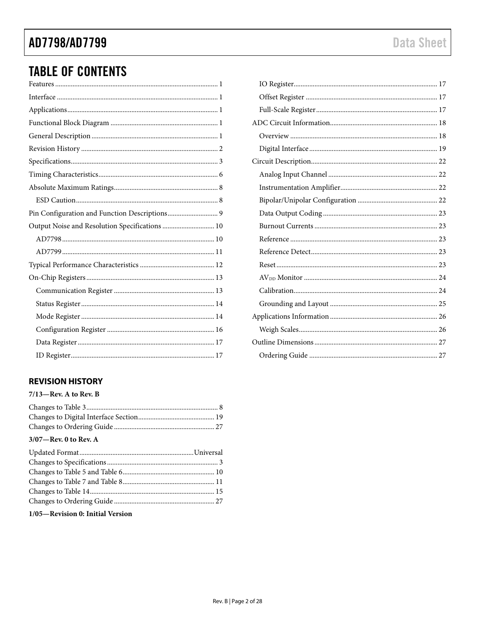# AD7798/AD7799

# **TABLE OF CONTENTS**

| Pin Configuration and Function Descriptions 9  |
|------------------------------------------------|
| Output Noise and Resolution Specifications  10 |
|                                                |
|                                                |
|                                                |
|                                                |
|                                                |
|                                                |
|                                                |
|                                                |
|                                                |
|                                                |

### <span id="page-1-0"></span>**REVISION HISTORY**

| $7/13$ -Rev. A to Rev. B |  |
|--------------------------|--|
|                          |  |
|                          |  |
|                          |  |
| $3/07$ —Rev. 0 to Rev. A |  |
|                          |  |
|                          |  |
|                          |  |
|                          |  |
|                          |  |
|                          |  |
|                          |  |

### 1/05-Revision 0: Initial Version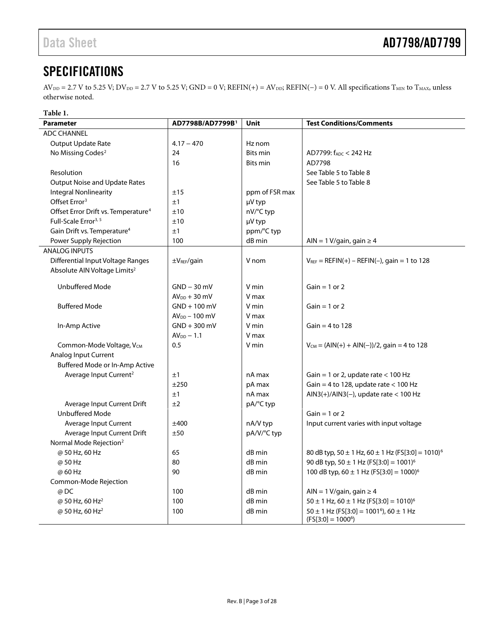# <span id="page-2-0"></span>**SPECIFICATIONS**

 $AV_{DD} = 2.7 V$  to 5.25 V;  $DV_{DD} = 2.7 V$  to 5.25 V;  $GND = 0 V$ ;  $REFIN(+) = AV_{DD}$ ;  $REFIN(-) = 0 V$ . All specifications  $T_{MIN}$  to  $T_{MAX}$ , unless otherwise noted.

#### **Table 1.**

<span id="page-2-1"></span>

| <b>Parameter</b>                                | AD7798B/AD7799B <sup>1</sup> | Unit            | <b>Test Conditions/Comments</b>                                                     |
|-------------------------------------------------|------------------------------|-----------------|-------------------------------------------------------------------------------------|
| <b>ADC CHANNEL</b>                              |                              |                 |                                                                                     |
| Output Update Rate                              | $4.17 - 470$                 | Hz nom          |                                                                                     |
| No Missing Codes <sup>2</sup>                   | 24                           | <b>Bits min</b> | AD7799: fADC < 242 Hz                                                               |
|                                                 | 16                           | <b>Bits min</b> | AD7798                                                                              |
| Resolution                                      |                              |                 | See Table 5 to Table 8                                                              |
| <b>Output Noise and Update Rates</b>            |                              |                 | See Table 5 to Table 8                                                              |
| <b>Integral Nonlinearity</b>                    | ±15                          | ppm of FSR max  |                                                                                     |
| Offset Error <sup>3</sup>                       | ±1                           | µV typ          |                                                                                     |
| Offset Error Drift vs. Temperature <sup>4</sup> | ±10                          | nV/°C typ       |                                                                                     |
| Full-Scale Error <sup>3, 5</sup>                | ±10                          | µV typ          |                                                                                     |
| Gain Drift vs. Temperature <sup>4</sup>         | ±1                           | ppm/°C typ      |                                                                                     |
| Power Supply Rejection                          | 100                          | dB min          | AIN = 1 V/gain, gain $\geq$ 4                                                       |
| <b>ANALOG INPUTS</b>                            |                              |                 |                                                                                     |
| Differential Input Voltage Ranges               | $\pm V_{REF}/$ gain          | V nom           | $V_{REF} = REFIN(+) - REFIN(-)$ , gain = 1 to 128                                   |
| Absolute AIN Voltage Limits <sup>2</sup>        |                              |                 |                                                                                     |
| <b>Unbuffered Mode</b>                          | $GND - 30$ mV                | V min           | $Gain = 1$ or 2                                                                     |
|                                                 | $AVDD + 30$ mV               | V max           |                                                                                     |
| <b>Buffered Mode</b>                            | $GND + 100$ mV               | V min           | $Gain = 1$ or 2                                                                     |
|                                                 | $AVDD - 100$ mV              | V max           |                                                                                     |
| In-Amp Active                                   | $GND + 300$ mV               | V min           | Gain = $4$ to 128                                                                   |
|                                                 | $AVDD - 1.1$                 | V max           |                                                                                     |
| Common-Mode Voltage, Vcм                        | 0.5                          | V min           | $V_{CM} = (AIN(+) + AIN(-))/2$ , gain = 4 to 128                                    |
| Analog Input Current                            |                              |                 |                                                                                     |
| Buffered Mode or In-Amp Active                  |                              |                 |                                                                                     |
| Average Input Current <sup>2</sup>              | ±1                           | nA max          | Gain = 1 or 2, update rate $<$ 100 Hz                                               |
|                                                 | ±250                         | pA max          | Gain = 4 to 128, update rate < 100 Hz                                               |
|                                                 | ±1                           | nA max          | $AlN3(+)/AlN3(-)$ , update rate < 100 Hz                                            |
| Average Input Current Drift                     | ±2                           | pA/°C typ       |                                                                                     |
| <b>Unbuffered Mode</b>                          |                              |                 | $Gain = 1$ or 2                                                                     |
| Average Input Current                           | ±400                         | nA/V typ        | Input current varies with input voltage                                             |
| Average Input Current Drift                     | ±50                          | pA/V/°C typ     |                                                                                     |
| Normal Mode Rejection <sup>2</sup>              |                              |                 |                                                                                     |
| @ 50 Hz, 60 Hz                                  | 65                           | dB min          | 80 dB typ, $50 \pm 1$ Hz, $60 \pm 1$ Hz (FS[3:0] = 1010) <sup>6</sup>               |
| @ 50 Hz                                         | 80                           | dB min          | 90 dB typ, $50 \pm 1$ Hz (FS[3:0] = 1001) <sup>6</sup>                              |
| @ 60 Hz                                         | 90                           | dB min          | 100 dB typ, $60 \pm 1$ Hz (FS[3:0] = 1000) <sup>6</sup>                             |
| Common-Mode Rejection                           |                              |                 |                                                                                     |
| @ DC                                            | 100                          | dB min          | AIN = 1 V/gain, gain $\geq 4$                                                       |
| @ 50 Hz, 60 Hz <sup>2</sup>                     | 100                          | dB min          | $50 \pm 1$ Hz, $60 \pm 1$ Hz (FS[3:0] = 1010) <sup>6</sup>                          |
| @ 50 Hz, 60 Hz <sup>2</sup>                     | 100                          | dB min          | $50 \pm 1$ Hz (FS[3:0] = 1001 <sup>6</sup> ), 60 $\pm$ 1 Hz<br>$(FS[3:0] = 1000^6)$ |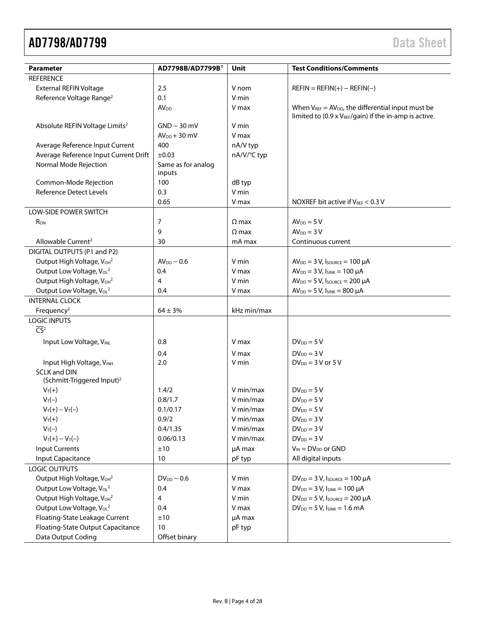# AD7798/AD7799 Data Sheet

| <b>Parameter</b>                                              | AD7798B/AD7799B <sup>1</sup> | Unit         | <b>Test Conditions/Comments</b>                                                                                    |
|---------------------------------------------------------------|------------------------------|--------------|--------------------------------------------------------------------------------------------------------------------|
| <b>REFERENCE</b>                                              |                              |              |                                                                                                                    |
| <b>External REFIN Voltage</b>                                 | 2.5                          | V nom        | $REFIN = REFIN(+) - REFIN(-)$                                                                                      |
| Reference Voltage Range <sup>2</sup>                          | 0.1                          | V min        |                                                                                                                    |
|                                                               | AV <sub>DD</sub>             | V max        | When $V_{REF} = AV_{DD}$ , the differential input must be<br>limited to (0.9 x VREF/gain) if the in-amp is active. |
| Absolute REFIN Voltage Limits <sup>2</sup>                    | $GND - 30$ mV                | V min        |                                                                                                                    |
|                                                               | $AV_{DD} + 30$ mV            | V max        |                                                                                                                    |
| Average Reference Input Current                               | 400                          | nA/V typ     |                                                                                                                    |
| Average Reference Input Current Drift                         | ±0.03                        | nA/V/°C typ  |                                                                                                                    |
| Normal Mode Rejection                                         | Same as for analog<br>inputs |              |                                                                                                                    |
| Common-Mode Rejection                                         | 100                          | dB typ       |                                                                                                                    |
| <b>Reference Detect Levels</b>                                | 0.3                          | V min        |                                                                                                                    |
|                                                               | 0.65                         | V max        | NOXREF bit active if VREF < 0.3 V                                                                                  |
| LOW-SIDE POWER SWITCH                                         |                              |              |                                                                                                                    |
| R <sub>ON</sub>                                               | 7                            | $\Omega$ max | $AVDD = 5 V$                                                                                                       |
|                                                               | 9                            | $\Omega$ max | $AVDD = 3V$                                                                                                        |
| Allowable Current <sup>2</sup>                                | 30                           | mA max       | Continuous current                                                                                                 |
| DIGITAL OUTPUTS (P1 and P2)                                   |                              |              |                                                                                                                    |
| Output High Voltage, V <sub>OH<sup>2</sup></sub>              | $AV_{DD} - 0.6$              | V min        | $AV_{DD} = 3 V$ , Isource = 100 µA                                                                                 |
| Output Low Voltage, V <sub>oL</sub> <sup>2</sup>              | 0.4                          | V max        | $AV_{DD} = 3 V$ , $I_{SINK} = 100 \mu A$                                                                           |
| Output High Voltage, VoH2                                     | 4                            | V min        | $AV_{DD} = 5 V$ , Isource = 200 µA                                                                                 |
| Output Low Voltage, V <sub>oL</sub> <sup>2</sup>              | 0.4                          | V max        | $AV_{DD} = 5 V$ , $I_{SINK} = 800 \mu A$                                                                           |
| <b>INTERNAL CLOCK</b>                                         |                              |              |                                                                                                                    |
| Frequency <sup>2</sup>                                        | $64 \pm 3\%$                 | kHz min/max  |                                                                                                                    |
| <b>LOGIC INPUTS</b><br>$\overline{CS}^2$                      |                              |              |                                                                                                                    |
|                                                               |                              |              |                                                                                                                    |
| Input Low Voltage, VINL                                       | 0.8                          | V max        | $DV_{DD} = 5V$                                                                                                     |
|                                                               | 0.4                          | V max        | $DV_{DD} = 3V$                                                                                                     |
| Input High Voltage, VINH                                      | 2.0                          | V min        | $DV_{DD} = 3 V$ or $5 V$                                                                                           |
| <b>SCLK and DIN</b><br>(Schmitt-Triggered Input) <sup>2</sup> |                              |              |                                                                                                                    |
| $V_T(+)$                                                      | 1.4/2                        | V min/max    | $DV_{DD} = 5V$                                                                                                     |
| $V_T(-)$                                                      | 0.8/1.7                      | V min/max    | $DV_{DD} = 5V$                                                                                                     |
| $V_T(+) - V_T(-)$                                             | 0.1/0.17                     | V min/max    | $DV_{DD} = 5V$                                                                                                     |
| $V_T(+)$                                                      | 0.9/2                        | V min/max    | $DV_{DD} = 3V$                                                                                                     |
| $V_T(-)$                                                      | 0.4/1.35                     | V min/max    | $DV_{DD} = 3V$                                                                                                     |
| $V_T(+) - V_T(-)$                                             | 0.06/0.13                    | V min/max    | $DV_{DD} = 3V$                                                                                                     |
| <b>Input Currents</b>                                         | ±10                          | µA max       | $V_{IN} = DV_{DD}$ or GND                                                                                          |
| Input Capacitance                                             | 10                           | pF typ       | All digital inputs                                                                                                 |
| LOGIC OUTPUTS                                                 |                              |              |                                                                                                                    |
| Output High Voltage, V <sub>OH</sub> <sup>2</sup>             | $DV_{DD} - 0.6$              | V min        | $DV_{DD} = 3 V$ , $I_{SOURCE} = 100 \mu A$                                                                         |
| Output Low Voltage, VoL <sup>2</sup>                          | 0.4                          | V max        | $DV_{DD} = 3 V$ , $I_{SINK} = 100 \mu A$                                                                           |
| Output High Voltage, VoH2                                     | 4                            | V min        | $DV_{DD} = 5 V$ , Isource = 200 µA                                                                                 |
| Output Low Voltage, VoL <sup>2</sup>                          | 0.4                          | V max        | $DV_{DD} = 5 V$ , $I_{SINK} = 1.6 mA$                                                                              |
| Floating-State Leakage Current                                | ±10                          | µA max       |                                                                                                                    |
| Floating-State Output Capacitance                             | 10                           | pF typ       |                                                                                                                    |
| Data Output Coding                                            | Offset binary                |              |                                                                                                                    |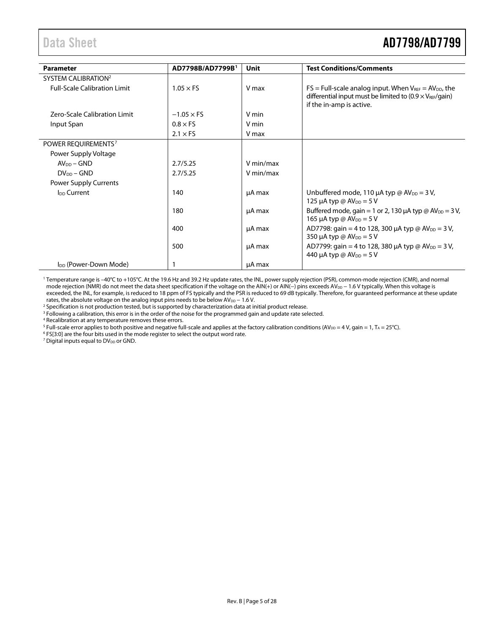# <span id="page-4-0"></span>Data Sheet **AD7798/AD7799**

| <b>Parameter</b>                    | AD7798B/AD7799B <sup>1</sup> | Unit      | <b>Test Conditions/Comments</b>                                                                                                                                 |
|-------------------------------------|------------------------------|-----------|-----------------------------------------------------------------------------------------------------------------------------------------------------------------|
| SYSTEM CALIBRATION <sup>2</sup>     |                              |           |                                                                                                                                                                 |
| <b>Full-Scale Calibration Limit</b> | $1.05 \times FS$             | V max     | $FS = Full-scale$ analog input. When $V_{REF} = AV_{DD}$ , the<br>differential input must be limited to $(0.9 \times V_{REF}/gain)$<br>if the in-amp is active. |
| Zero-Scale Calibration Limit        | $-1.05 \times FS$            | V min     |                                                                                                                                                                 |
| Input Span                          | $0.8 \times F5$              | V min     |                                                                                                                                                                 |
|                                     | $2.1 \times F5$              | V max     |                                                                                                                                                                 |
| POWER REQUIREMENTS <sup>7</sup>     |                              |           |                                                                                                                                                                 |
| Power Supply Voltage                |                              |           |                                                                                                                                                                 |
| $AVDD - GND$                        | 2.7/5.25                     | V min/max |                                                                                                                                                                 |
| $DV_{DD}$ – GND                     | 2.7/5.25                     | V min/max |                                                                                                                                                                 |
| Power Supply Currents               |                              |           |                                                                                                                                                                 |
| I <sub>DD</sub> Current             | 140                          | µA max    | Unbuffered mode, 110 $\mu$ A typ @ AV <sub>DD</sub> = 3 V,<br>125 µA typ @ $AV_{DD} = 5 V$                                                                      |
|                                     | 180                          | µA max    | Buffered mode, gain = 1 or 2, 130 $\mu$ A typ @ AV <sub>DD</sub> = 3 V,<br>165 µA typ @ $AV_{DD} = 5V$                                                          |
|                                     | 400                          | µA max    | AD7798: gain = 4 to 128, 300 $\mu$ A typ @ AV <sub>DD</sub> = 3 V,<br>350 µA typ @ $AV_{DD} = 5V$                                                               |
|                                     | 500                          | µA max    | AD7799: gain = 4 to 128, 380 $\mu$ A typ @ AV <sub>DD</sub> = 3 V,<br>440 μA typ @ AV <sub>DD</sub> = 5 V                                                       |
| I <sub>DD</sub> (Power-Down Mode)   |                              | µA max    |                                                                                                                                                                 |

<sup>1</sup> Temperature range is –40°C to +105°C. At the 19.6 Hz and 39.2 Hz update rates, the INL, power supply rejection (PSR), common-mode rejection (CMR), and normal mode rejection (NMR) do not meet the data sheet specification if the voltage on the AIN(+) or AIN(−) pins exceeds AV<sub>DD</sub> − 1.6 V typically. When this voltage is exceeded, the INL, for example, is reduced to 18 ppm of FS typically and the PSR is reduced to 69 dB typically. Therefore, for guaranteed performance at these update rates, the absolute voltage on the analog input pins needs to be below  $AV_{DD} - 1.6 V$ .

2 Specification is not production tested, but is supported by characterization data at initial product release.<br><sup>3</sup> Following a calibration, this error is in the order of the noise for the programmed gain and update rate s <sup>3</sup> Following a calibration, this error is in the order of the noise for the programmed gain and update rate selected.<br><sup>4</sup> Recalibration at any temperature removes these errors.

 $^5$  Full-scale error applies to both positive and negative full-scale and applies at the factory calibration conditions (AV $_{\rm DD}$  = 4 V, gain = 1, T $_{\rm A}$  = 25°C).

<sup>6</sup> FS[3:0] are the four bits used in the mode register to select the output word rate.

 $<sup>7</sup>$  Digital inputs equal to DV<sub>DD</sub> or GND.</sup>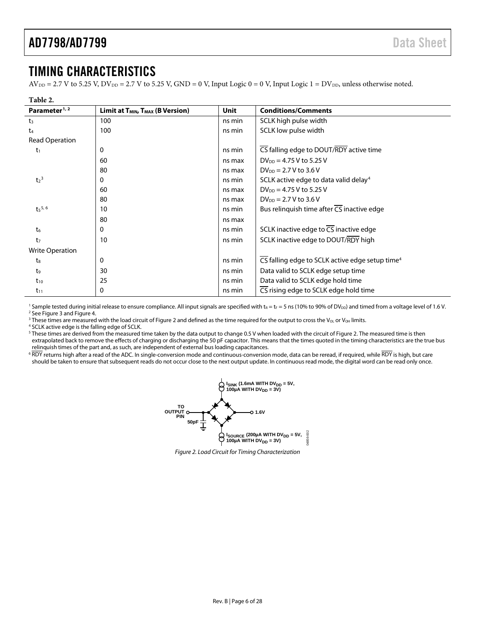## <span id="page-5-0"></span>TIMING CHARACTERISTICS

 $AV_{DD} = 2.7 V$  to 5.25 V,  $DV_{DD} = 2.7 V$  to 5.25 V,  $GND = 0 V$ , Input Logic 0 = 0 V, Input Logic 1 =  $DV_{DD}$ , unless otherwise noted.

| וחו |  |
|-----|--|
|     |  |

| Parameter <sup>1, 2</sup>   | Limit at $T_{MIN}$ , $T_{MAX}$ (B Version) | Unit   | <b>Conditions/Comments</b>                                  |
|-----------------------------|--------------------------------------------|--------|-------------------------------------------------------------|
| $t_3$                       | 100                                        | ns min | SCLK high pulse width                                       |
| t <sub>4</sub>              | 100                                        | ns min | SCLK low pulse width                                        |
| Read Operation              |                                            |        |                                                             |
| t <sub>1</sub>              | 0                                          | ns min | CS falling edge to DOUT/RDY active time                     |
|                             | 60                                         | ns max | $DV_{DD} = 4.75 V$ to 5.25 V                                |
|                             | 80                                         | ns max | $DV_{DD} = 2.7 V$ to 3.6 V                                  |
| t <sub>2</sub> <sup>3</sup> | 0                                          | ns min | SCLK active edge to data valid delay <sup>4</sup>           |
|                             | 60                                         | ns max | $DV_{DD} = 4.75 V$ to 5.25 V                                |
|                             | 80                                         | ns max | $DV_{DD} = 2.7 V$ to 3.6 V                                  |
| $t_5$ <sup>5, 6</sup>       | 10                                         | ns min | Bus relinquish time after CS inactive edge                  |
|                             | 80                                         | ns max |                                                             |
| t <sub>6</sub>              | 0                                          | ns min | SCLK inactive edge to $\overline{CS}$ inactive edge         |
| t <sub>7</sub>              | 10                                         | ns min | SCLK inactive edge to DOUT/RDY high                         |
| <b>Write Operation</b>      |                                            |        |                                                             |
| t <sub>8</sub>              | 0                                          | ns min | CS falling edge to SCLK active edge setup time <sup>4</sup> |
| t9                          | 30                                         | ns min | Data valid to SCLK edge setup time                          |
| $t_{10}$                    | 25                                         | ns min | Data valid to SCLK edge hold time                           |
| $t_{11}$                    | $\mathbf{0}$                               | ns min | CS rising edge to SCLK edge hold time                       |

<sup>1</sup> Sample tested during initial release to ensure compliance. All input signals are specified with t<sub>R</sub> = t<sub>F</sub> = 5 ns (10% to 90% of DV<sub>DD</sub>) and timed from a voltage level of 1.6 V. <sup>2</sup> Se[e Figure 3](#page-6-0) an[d Figure 4.](#page-6-1)

 $3$  These times are measured with the load circuit o[f Figure 2](#page-5-2) and defined as the time required for the output to cross the V<sub>OL</sub> or V<sub>OH</sub> limits.

<sup>4</sup> SCLK active edge is the falling edge of SCLK.

<span id="page-5-1"></span><sup>5</sup> These times are derived from the measured time taken by the data output to change 0.5 V when loaded with the circuit o[f Figure 2.](#page-5-2) The measured time is then extrapolated back to remove the effects of charging or discharging the 50 pF capacitor. This means that the times quoted in the timing characteristics are the true bus relinquish times of the part and, as such, are independent of external bus loading capacitances.

<span id="page-5-2"></span> $6$  RDY returns high after a read of the ADC. In single-conversion mode and continuous-conversion mode, data can be reread, if required, while RDY is high, but care should be taken to ensure that subsequent reads do not occur close to the next output update. In continuous read mode, the digital word can be read only once.



*Figure 2. Load Circuit for Timing Characterization*

04856-002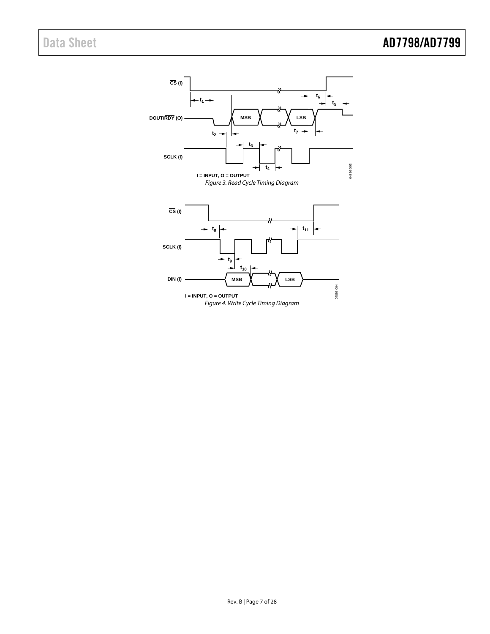<span id="page-6-1"></span><span id="page-6-0"></span>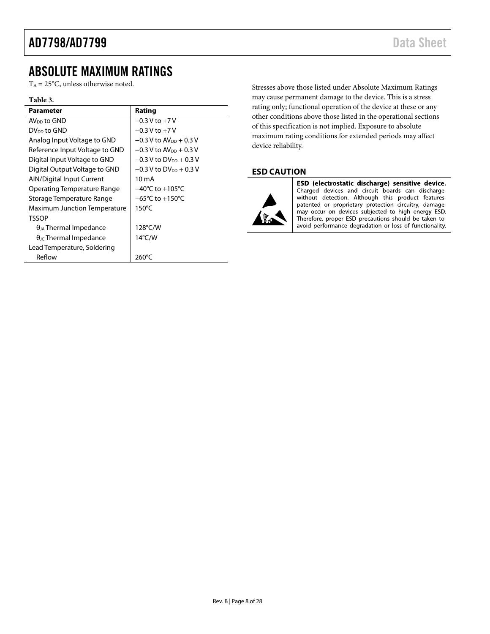## <span id="page-7-0"></span>ABSOLUTE MAXIMUM RATINGS

 $T_A = 25$ °C, unless otherwise noted.

#### **Table 3.**

| <b>Parameter</b>                       | Rating                               |
|----------------------------------------|--------------------------------------|
| AV <sub>nn</sub> to GND                | $-0.3$ V to $+7$ V                   |
| DV <sub>DD</sub> to GND                | $-0.3$ V to $+7$ V                   |
| Analog Input Voltage to GND            | $-0.3$ V to AV <sub>DD</sub> + 0.3 V |
| Reference Input Voltage to GND         | $-0.3$ V to AV <sub>DD</sub> + 0.3 V |
| Digital Input Voltage to GND           | $-0.3$ V to DV <sub>DD</sub> + 0.3 V |
| Digital Output Voltage to GND          | $-0.3$ V to DV <sub>DD</sub> + 0.3 V |
| AIN/Digital Input Current              | 10 mA                                |
| Operating Temperature Range            | $-40^{\circ}$ C to $+105^{\circ}$ C  |
| Storage Temperature Range              | $-65^{\circ}$ C to $+150^{\circ}$ C  |
| Maximum Junction Temperature           | $150^{\circ}$ C                      |
| <b>TSSOP</b>                           |                                      |
| $\theta_{IA}$ Thermal Impedance        | $128^{\circ}$ C/W                    |
| $\theta_{\text{JC}}$ Thermal Impedance | $14^{\circ}$ C/W                     |
| Lead Temperature, Soldering            |                                      |
| Reflow                                 | 260°C                                |

Stresses above those listed under Absolute Maximum Ratings may cause permanent damage to the device. This is a stress rating only; functional operation of the device at these or any other conditions above those listed in the operational sections of this specification is not implied. Exposure to absolute maximum rating conditions for extended periods may affect device reliability.

#### <span id="page-7-1"></span>**ESD CAUTION**



ESD (electrostatic discharge) sensitive device. Charged devices and circuit boards can discharge<br>without detection. Although this product features patented or proprietary protection circuitry, damage may occur on devices subjected to high energy ESD. Therefore, proper ESD precautions should be taken to avoid performance degradation or loss of functionality.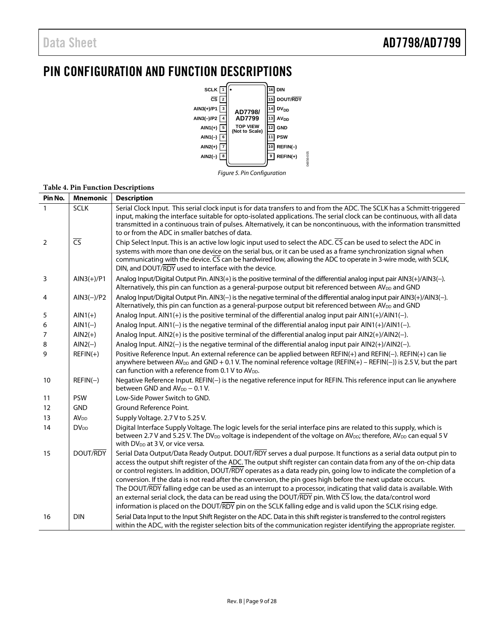# <span id="page-8-0"></span>PIN CONFIGURATION AND FUNCTION DESCRIPTIONS



#### **Table 4. Pin Function Descriptions**

| Pin No.        | <b>Mnemonic</b>         | <b>Description</b>                                                                                                                                                                                                                                                                                                                                                                                                                                                                                                                                                                                                                                                                                                                                                                                                                            |
|----------------|-------------------------|-----------------------------------------------------------------------------------------------------------------------------------------------------------------------------------------------------------------------------------------------------------------------------------------------------------------------------------------------------------------------------------------------------------------------------------------------------------------------------------------------------------------------------------------------------------------------------------------------------------------------------------------------------------------------------------------------------------------------------------------------------------------------------------------------------------------------------------------------|
| $\mathbf{1}$   | <b>SCLK</b>             | Serial Clock Input. This serial clock input is for data transfers to and from the ADC. The SCLK has a Schmitt-triggered<br>input, making the interface suitable for opto-isolated applications. The serial clock can be continuous, with all data<br>transmitted in a continuous train of pulses. Alternatively, it can be noncontinuous, with the information transmitted<br>to or from the ADC in smaller batches of data.                                                                                                                                                                                                                                                                                                                                                                                                                  |
| $\overline{2}$ | $\overline{\text{CS}}$  | Chip Select Input. This is an active low logic input used to select the ADC. CS can be used to select the ADC in<br>systems with more than one device on the serial bus, or it can be used as a frame synchronization signal when<br>communicating with the device. CS can be hardwired low, allowing the ADC to operate in 3-wire mode, with SCLK,<br>DIN, and DOUT/RDY used to interface with the device.                                                                                                                                                                                                                                                                                                                                                                                                                                   |
| 3              | $AlN3(+)/P1$            | Analog Input/Digital Output Pin. AIN3(+) is the positive terminal of the differential analog input pair AIN3(+)/AIN3(-).<br>Alternatively, this pin can function as a general-purpose output bit referenced between AV <sub>DD</sub> and GND                                                                                                                                                                                                                                                                                                                                                                                                                                                                                                                                                                                                  |
| 4              | $AlN3(-)/P2$            | Analog Input/Digital Output Pin. AIN3(-) is the negative terminal of the differential analog input pair AIN3(+)/AIN3(-).<br>Alternatively, this pin can function as a general-purpose output bit referenced between AV <sub>DD</sub> and GND                                                                                                                                                                                                                                                                                                                                                                                                                                                                                                                                                                                                  |
| 5              | $AlN1(+)$               | Analog Input. $AINI(+)$ is the positive terminal of the differential analog input pair $AINI(+)$ / $AINI(-)$ .                                                                                                                                                                                                                                                                                                                                                                                                                                                                                                                                                                                                                                                                                                                                |
| 6              | $AIN1(-)$               | Analog Input. AIN1(-) is the negative terminal of the differential analog input pair AIN1(+)/AIN1(-).                                                                                                                                                                                                                                                                                                                                                                                                                                                                                                                                                                                                                                                                                                                                         |
| 7              | $AlN2(+)$               | Analog Input. AIN2(+) is the positive terminal of the differential analog input pair AIN2(+)/AIN2(-).                                                                                                                                                                                                                                                                                                                                                                                                                                                                                                                                                                                                                                                                                                                                         |
| 8              | $AlN2(-)$               | Analog Input. AIN2(-) is the negative terminal of the differential analog input pair AIN2(+)/AIN2(-).                                                                                                                                                                                                                                                                                                                                                                                                                                                                                                                                                                                                                                                                                                                                         |
| 9              | $REFIN(+)$              | Positive Reference Input. An external reference can be applied between REFIN(+) and REFIN(-). REFIN(+) can lie<br>anywhere between AV <sub>DD</sub> and GND + 0.1 V. The nominal reference voltage (REFIN(+) - REFIN(-)) is 2.5 V, but the part<br>can function with a reference from 0.1 V to AV <sub>DD</sub> .                                                                                                                                                                                                                                                                                                                                                                                                                                                                                                                             |
| 10             | $REFIN(-)$              | Negative Reference Input. REFIN(-) is the negative reference input for REFIN. This reference input can lie anywhere<br>between GND and AV <sub>DD</sub> - 0.1 V.                                                                                                                                                                                                                                                                                                                                                                                                                                                                                                                                                                                                                                                                              |
| 11             | <b>PSW</b>              | Low-Side Power Switch to GND.                                                                                                                                                                                                                                                                                                                                                                                                                                                                                                                                                                                                                                                                                                                                                                                                                 |
| 12             | <b>GND</b>              | Ground Reference Point.                                                                                                                                                                                                                                                                                                                                                                                                                                                                                                                                                                                                                                                                                                                                                                                                                       |
| 13             | <b>AV</b> <sub>DD</sub> | Supply Voltage. 2.7 V to 5.25 V.                                                                                                                                                                                                                                                                                                                                                                                                                                                                                                                                                                                                                                                                                                                                                                                                              |
| 14             | <b>DV</b> <sub>DD</sub> | Digital Interface Supply Voltage. The logic levels for the serial interface pins are related to this supply, which is<br>between 2.7 V and 5.25 V. The DV <sub>DD</sub> voltage is independent of the voltage on AV <sub>DD</sub> ; therefore, AV <sub>DD</sub> can equal 5 V<br>with DV <sub>DD</sub> at 3V, or vice versa.                                                                                                                                                                                                                                                                                                                                                                                                                                                                                                                  |
| 15             | DOUT/RDY                | Serial Data Output/Data Ready Output. DOUT/RDY serves a dual purpose. It functions as a serial data output pin to<br>access the output shift register of the ADC. The output shift register can contain data from any of the on-chip data<br>or control registers. In addition, DOUT/RDY operates as a data ready pin, going low to indicate the completion of a<br>conversion. If the data is not read after the conversion, the pin goes high before the next update occurs.<br>The DOUT/RDY falling edge can be used as an interrupt to a processor, indicating that valid data is available. With<br>an external serial clock, the data can be read using the DOUT/RDY pin. With $\overline{CS}$ low, the data/control word<br>information is placed on the DOUT/RDY pin on the SCLK falling edge and is valid upon the SCLK rising edge. |
| 16             | <b>DIN</b>              | Serial Data Input to the Input Shift Register on the ADC. Data in this shift register is transferred to the control registers<br>within the ADC, with the register selection bits of the communication register identifying the appropriate register.                                                                                                                                                                                                                                                                                                                                                                                                                                                                                                                                                                                         |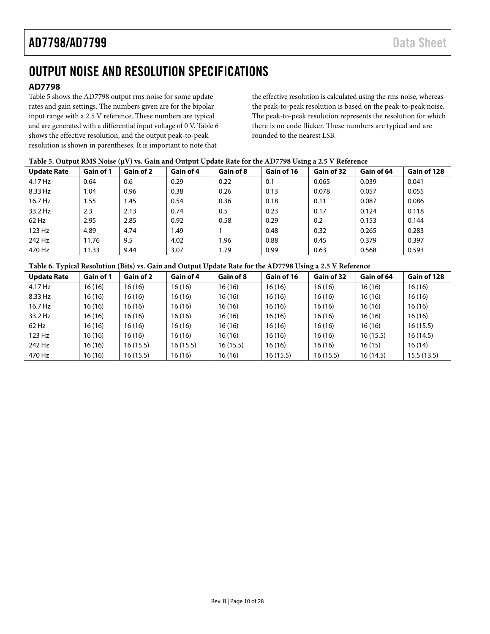# <span id="page-9-0"></span>OUTPUT NOISE AND RESOLUTION SPECIFICATIONS

### <span id="page-9-1"></span>**AD7798**

[Table 5](#page-9-2) shows the AD7798 output rms noise for some update rates and gain settings. The numbers given are for the bipolar input range with a 2.5 V reference. These numbers are typical and are generated with a differential input voltage of 0 V[. Table 6](#page-9-3) shows the effective resolution, and the output peak-to-peak resolution is shown in parentheses. It is important to note that

the effective resolution is calculated using the rms noise, whereas the peak-to-peak resolution is based on the peak-to-peak noise. The peak-to-peak resolution represents the resolution for which there is no code flicker. These numbers are typical and are rounded to the nearest LSB.

#### <span id="page-9-2"></span>**Table 5. Output RMS Noise (µV) vs. Gain and Output Update Rate for the AD7798 Using a 2.5 V Reference**

| <b>Update Rate</b> | Gain of 1 | Gain of 2 | Gain of 4 | Gain of 8 | Gain of 16 | Gain of 32 | Gain of 64 | Gain of 128 |
|--------------------|-----------|-----------|-----------|-----------|------------|------------|------------|-------------|
| 4.17 Hz            | 0.64      | 0.6       | 0.29      | 0.22      | 0.1        | 0.065      | 0.039      | 0.041       |
| 8.33 Hz            | .04       | 0.96      | 0.38      | 0.26      | 0.13       | 0.078      | 0.057      | 0.055       |
| 16.7 Hz            | l.55      | 1.45      | 0.54      | 0.36      | 0.18       | 0.11       | 0.087      | 0.086       |
| 33.2 Hz            | 2.3       | 2.13      | 0.74      | 0.5       | 0.23       | 0.17       | 0.124      | 0.118       |
| 62 Hz              | 2.95      | 2.85      | 0.92      | 0.58      | 0.29       | 0.2        | 0.153      | 0.144       |
| 123 Hz             | 4.89      | 4.74      | 1.49      |           | 0.48       | 0.32       | 0.265      | 0.283       |
| 242 Hz             | 11.76     | 9.5       | 4.02      | 1.96      | 0.88       | 0.45       | 0.379      | 0.397       |
| 470 Hz             | 11.33     | 9.44      | 3.07      | 1.79      | 0.99       | 0.63       | 0.568      | 0.593       |

#### <span id="page-9-3"></span>**Table 6. Typical Resolution (Bits) vs. Gain and Output Update Rate for the AD7798 Using a 2.5 V Reference**

| <b>Update Rate</b> | Gain of 1 | Gain of 2 | Gain of 4 | Gain of 8 | Gain of 16 | Gain of 32 | Gain of 64 | Gain of 128 |
|--------------------|-----------|-----------|-----------|-----------|------------|------------|------------|-------------|
| 4.17 Hz            | 16(16)    | 16(16)    | 16 (16)   | 16(16)    | 16 (16)    | 16(16)     | 16(16)     | 16(16)      |
| 8.33 Hz            | 16 (16)   | 16(16)    | 16 (16)   | 16(16)    | 16 (16)    | 16(16)     | 16(16)     | 16(16)      |
| 16.7 Hz            | 16 (16)   | 16(16)    | 16 (16)   | 16(16)    | 16 (16)    | 16(16)     | 16(16)     | 16(16)      |
| 33.2 Hz            | 16 (16)   | 16(16)    | 16 (16)   | 16(16)    | 16 (16)    | 16(16)     | 16(16)     | 16(16)      |
| 62 Hz              | 16(16)    | 16(16)    | 16 (16)   | 16(16)    | 16 (16)    | 16(16)     | 16(16)     | 16(15.5)    |
| 123 Hz             | 16(16)    | 16(16)    | 16 (16)   | 16(16)    | 16 (16)    | 16(16)     | 16(15.5)   | 16(14.5)    |
| 242 Hz             | 16(16)    | 16(15.5)  | 16(15.5)  | 16(15.5)  | 16 (16)    | 16(16)     | 16(15)     | 16(14)      |
| 470 Hz             | 16(16)    | 16(15.5)  | 16 (16)   | 16(16)    | 16(15.5)   | 16(15.5)   | 16(14.5)   | 15.5(13.5)  |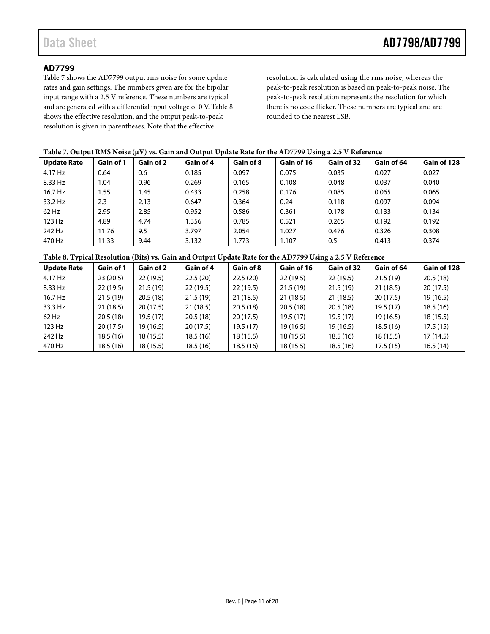#### <span id="page-10-0"></span>**AD7799**

[Table 7](#page-10-2) shows the AD7799 output rms noise for some update rates and gain settings. The numbers given are for the bipolar input range with a 2.5 V reference. These numbers are typical and are generated with a differential input voltage of 0 V[. Table 8](#page-10-1) shows the effective resolution, and the output peak-to-peak resolution is given in parentheses. Note that the effective

resolution is calculated using the rms noise, whereas the peak-to-peak resolution is based on peak-to-peak noise. The peak-to-peak resolution represents the resolution for which there is no code flicker. These numbers are typical and are rounded to the nearest LSB.

#### <span id="page-10-2"></span>**Table 7. Output RMS Noise (µV) vs. Gain and Output Update Rate for the AD7799 Using a 2.5 V Reference**

| <b>Update Rate</b> | Gain of 1 | Gain of 2 | Gain of 4 | Gain of 8 | Gain of 16 | Gain of 32 | Gain of 64 | Gain of 128 |
|--------------------|-----------|-----------|-----------|-----------|------------|------------|------------|-------------|
| 4.17 Hz            | 0.64      | 0.6       | 0.185     | 0.097     | 0.075      | 0.035      | 0.027      | 0.027       |
| 8.33 Hz            | .04       | 0.96      | 0.269     | 0.165     | 0.108      | 0.048      | 0.037      | 0.040       |
| 16.7 Hz            | . 55      | 1.45      | 0.433     | 0.258     | 0.176      | 0.085      | 0.065      | 0.065       |
| 33.2 Hz            | 2.3       | 2.13      | 0.647     | 0.364     | 0.24       | 0.118      | 0.097      | 0.094       |
| $62$ Hz            | 2.95      | 2.85      | 0.952     | 0.586     | 0.361      | 0.178      | 0.133      | 0.134       |
| 123 Hz             | 4.89      | 4.74      | 1.356     | 0.785     | 0.521      | 0.265      | 0.192      | 0.192       |
| 242 Hz             | 1.76      | 9.5       | 3.797     | 2.054     | .027       | 0.476      | 0.326      | 0.308       |
| 470 Hz             | 11.33     | 9.44      | 3.132     | 1.773     | 1.107      | 0.5        | 0.413      | 0.374       |

#### <span id="page-10-1"></span>**Table 8. Typical Resolution (Bits) vs. Gain and Output Update Rate for the AD7799 Using a 2.5 V Reference**

| <b>Update Rate</b> | Gain of 1 | Gain of 2 | Gain of 4 | Gain of 8 | Gain of 16 | Gain of 32 | Gain of 64 | Gain of 128 |
|--------------------|-----------|-----------|-----------|-----------|------------|------------|------------|-------------|
| 4.17 Hz            | 23(20.5)  | 22(19.5)  | 22.5(20)  | 22.5(20)  | 22(19.5)   | 22(19.5)   | 21.5(19)   | 20.5(18)    |
| 8.33 Hz            | 22(19.5)  | 21.5(19)  | 22(19.5)  | 22(19.5)  | 21.5(19)   | 21.5(19)   | 21(18.5)   | 20(17.5)    |
| 16.7 Hz            | 21.5(19)  | 20.5(18)  | 21.5(19)  | 21(18.5)  | 21(18.5)   | 21(18.5)   | 20(17.5)   | 19(16.5)    |
| 33.3 Hz            | 21(18.5)  | 20(17.5)  | 21(18.5)  | 20.5(18)  | 20.5(18)   | 20.5(18)   | 19.5(17)   | 18.5(16)    |
| 62 Hz              | 20.5(18)  | 19.5(17)  | 20.5(18)  | 20(17.5)  | 19.5(17)   | 19.5(17)   | 19(16.5)   | 18(15.5)    |
| 123 Hz             | 20(17.5)  | 19 (16.5) | 20(17.5)  | 19.5 (17) | 19(16.5)   | 19(16.5)   | 18.5(16)   | 17.5(15)    |
| 242 Hz             | 18.5(16)  | 18(15.5)  | 18.5(16)  | 18(15.5)  | 18 (15.5)  | 18.5(16)   | 18(15.5)   | 17(14.5)    |
| 470 Hz             | 18.5(16)  | 18(15.5)  | 18.5(16)  | 18.5(16)  | 18(15.5)   | 18.5(16)   | 17.5(15)   | 16.5(14)    |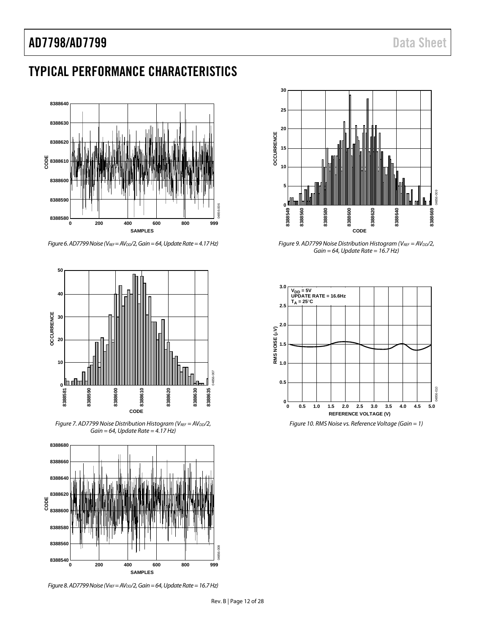# AD7798/AD7799 Data Sheet

# <span id="page-11-0"></span>TYPICAL PERFORMANCE CHARACTERISTICS



*Figure 6. AD7799 Noise (VREF = AVDD/2, Gain = 64, Update Rate = 4.17 Hz)* 



*Figure 7. AD7799 Noise Distribution Histogram (VREF* = AV<sub>DD</sub>/2, *Gain = 64, Update Rate = 4.17 Hz)* 



*Figure 8. AD7799 Noise (VREF = AVDD/2, Gain = 64, Update Rate = 16.7 Hz)* 



*Figure 9. AD7799 Noise Distribution Histogram (VREF* =  $AV_{DD}/2$ , *Gain = 64, Update Rate = 16.7 Hz)* 



*Figure 10. RMS Noise vs. Reference Voltage (Gain = 1)*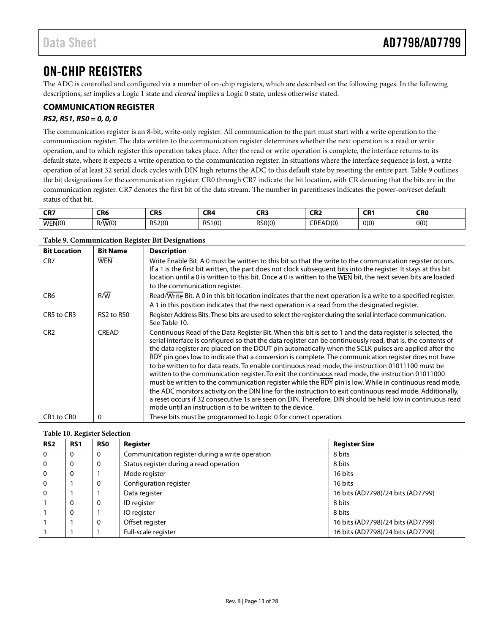# <span id="page-12-0"></span>ON-CHIP REGISTERS

The ADC is controlled and configured via a number of on-chip registers, which are described on the following pages. In the following descriptions, *set* implies a Logic 1 state and *cleared* implies a Logic 0 state, unless otherwise stated.

### <span id="page-12-1"></span>**COMMUNICATION REGISTER**

#### *RS2, RS1, RS0 = 0, 0, 0*

The communication register is an 8-bit, write-only register. All communication to the part must start with a write operation to the communication register. The data written to the communication register determines whether the next operation is a read or write operation, and to which register this operation takes place. After the read or write operation is complete, the interface returns to its default state, where it expects a write operation to the communication register. In situations where the interface sequence is lost, a write operation of at least 32 serial clock cycles with DIN high returns the ADC to this default state by resetting the entire part[. Table 9](#page-12-2) outlines the bit designations for the communication register. CR0 through CR7 indicate the bit location, with CR denoting that the bits are in the communication register. CR7 denotes the first bit of the data stream. The number in parentheses indicates the power-on/reset default status of that bit.

| CD7<br>⊾n | CR <sub>6</sub> | CR <sub>5</sub> | CR4    | $\sim$<br>ーロン | CDT.<br><b>LNA</b> | $\sim$ D <sub>1</sub><br>un i | CR <sub>0</sub> |
|-----------|-----------------|-----------------|--------|---------------|--------------------|-------------------------------|-----------------|
| WEN(0)    | _<br>R/W(0)     | RS2(0)          | RS1(0) | RS0(0)        | CREAD(0)           | O(0)                          | O(0)            |

#### <span id="page-12-2"></span>**Table 9. Communication Register Bit Designations**

| <b>Bit Location</b> | <b>Bit Name</b>                    | <b>Description</b>                                                                                                                                                                                                                                                                                                                                                                                                                                                                                                                                                                                                                                                                                                                                                                                                                                                                                                                                                                                                                                    |
|---------------------|------------------------------------|-------------------------------------------------------------------------------------------------------------------------------------------------------------------------------------------------------------------------------------------------------------------------------------------------------------------------------------------------------------------------------------------------------------------------------------------------------------------------------------------------------------------------------------------------------------------------------------------------------------------------------------------------------------------------------------------------------------------------------------------------------------------------------------------------------------------------------------------------------------------------------------------------------------------------------------------------------------------------------------------------------------------------------------------------------|
| CR <sub>7</sub>     | <b>WEN</b>                         | Write Enable Bit. A 0 must be written to this bit so that the write to the communication register occurs.<br>If a 1 is the first bit written, the part does not clock subsequent bits into the register. It stays at this bit<br>location until a 0 is written to this bit. Once a 0 is written to the WEN bit, the next seven bits are loaded<br>to the communication register.                                                                                                                                                                                                                                                                                                                                                                                                                                                                                                                                                                                                                                                                      |
| CR <sub>6</sub>     | R/W                                | Read/Write Bit. A 0 in this bit location indicates that the next operation is a write to a specified register.<br>A 1 in this position indicates that the next operation is a read from the designated register.                                                                                                                                                                                                                                                                                                                                                                                                                                                                                                                                                                                                                                                                                                                                                                                                                                      |
| CR5 to CR3          | RS <sub>2</sub> to RS <sub>0</sub> | Register Address Bits. These bits are used to select the register during the serial interface communication.<br>See Table 10.                                                                                                                                                                                                                                                                                                                                                                                                                                                                                                                                                                                                                                                                                                                                                                                                                                                                                                                         |
| CR <sub>2</sub>     | <b>CREAD</b>                       | Continuous Read of the Data Register Bit. When this bit is set to 1 and the data register is selected, the<br>serial interface is configured so that the data register can be continuously read, that is, the contents of<br>the data register are placed on the DOUT pin automatically when the SCLK pulses are applied after the<br>RDY pin goes low to indicate that a conversion is complete. The communication register does not have<br>to be written to for data reads. To enable continuous read mode, the instruction 01011100 must be<br>written to the communication register. To exit the continuous read mode, the instruction 01011000<br>must be written to the communication register while the RDY pin is low. While in continuous read mode,<br>the ADC monitors activity on the DIN line for the instruction to exit continuous read mode. Additionally,<br>a reset occurs if 32 consecutive 1s are seen on DIN. Therefore, DIN should be held low in continuous read<br>mode until an instruction is to be written to the device. |
| CR1 to CR0          | 0                                  | These bits must be programmed to Logic 0 for correct operation.                                                                                                                                                                                                                                                                                                                                                                                                                                                                                                                                                                                                                                                                                                                                                                                                                                                                                                                                                                                       |

#### <span id="page-12-3"></span>**Table 10. Register Selection**

| RS <sub>2</sub> | RS <sub>1</sub> | <b>RSO</b> | Register                                        | <b>Register Size</b>              |
|-----------------|-----------------|------------|-------------------------------------------------|-----------------------------------|
| $\Omega$        | 0               | 0          | Communication register during a write operation | 8 bits                            |
| $\Omega$        | 0               | 0          | Status register during a read operation         | 8 bits                            |
| $\Omega$        | $\Omega$        |            | Mode register                                   | 16 bits                           |
| $\mathbf 0$     |                 | 0          | Configuration register                          | 16 bits                           |
| $\mathbf{0}$    |                 |            | Data register                                   | 16 bits (AD7798)/24 bits (AD7799) |
|                 | 0               | 0          | ID register                                     | 8 bits                            |
|                 | 0               |            | IO register                                     | 8 bits                            |
|                 |                 | 0          | Offset register                                 | 16 bits (AD7798)/24 bits (AD7799) |
|                 |                 |            | Full-scale register                             | 16 bits (AD7798)/24 bits (AD7799) |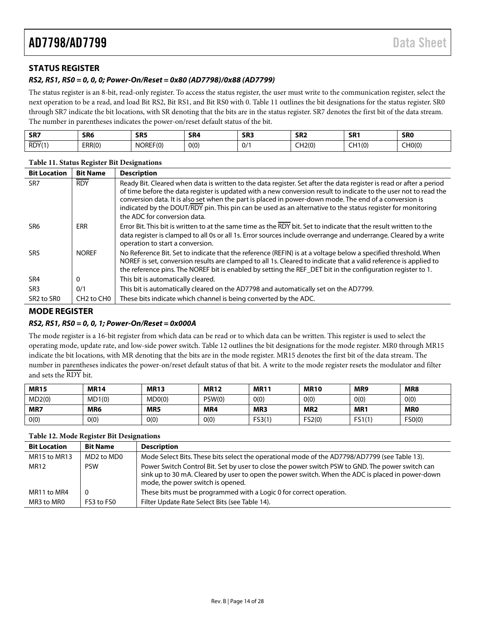### <span id="page-13-0"></span>**STATUS REGISTER**

#### *RS2, RS1, RS0 = 0, 0, 0; Power-On/Reset = 0x80 (AD7798)/0x88 (AD7799)*

The status register is an 8-bit, read-only register. To access the status register, the user must write to the communication register, select the next operation to be a read, and load Bit RS2, Bit RS1, and Bit RS0 with 0. [Table 11](#page-13-2) outlines the bit designations for the status register. SR0 through SR7 indicate the bit locations, with SR denoting that the bits are in the status register. SR7 denotes the first bit of the data stream. The number in parentheses indicates the power-on/reset default status of the bit.

| SR7    | SR <sub>6</sub> | SR <sub>5</sub> | SR <sub>4</sub> | SR <sub>3</sub> | SR <sub>2</sub> | SR <sub>1</sub>          | <b>SR0</b> |
|--------|-----------------|-----------------|-----------------|-----------------|-----------------|--------------------------|------------|
| RDY(1) | ERR(0)          | NOREF(C)        | 0(0)            | 0/1             | CH2(0)          | $- \cdot$ .<br>1(0)<br>∼ | CH0(0)     |

| <b>Bit Location</b>                | <b>Bit Name</b>                    | <b>Description</b>                                                                                                                                                                                                                                                                                                                                                                                                                                                                               |
|------------------------------------|------------------------------------|--------------------------------------------------------------------------------------------------------------------------------------------------------------------------------------------------------------------------------------------------------------------------------------------------------------------------------------------------------------------------------------------------------------------------------------------------------------------------------------------------|
| SR <sub>7</sub>                    | <b>RDY</b>                         | Ready Bit. Cleared when data is written to the data register. Set after the data register is read or after a period<br>of time before the data register is updated with a new conversion result to indicate to the user not to read the<br>conversion data. It is also set when the part is placed in power-down mode. The end of a conversion is<br>indicated by the DOUT/RDY pin. This pin can be used as an alternative to the status register for monitoring<br>the ADC for conversion data. |
| SR6                                | <b>ERR</b>                         | Error Bit. This bit is written to at the same time as the RDY bit. Set to indicate that the result written to the<br>data register is clamped to all 0s or all 1s. Error sources include overrange and underrange. Cleared by a write<br>operation to start a conversion.                                                                                                                                                                                                                        |
| SR <sub>5</sub>                    | <b>NOREF</b>                       | No Reference Bit. Set to indicate that the reference (REFIN) is at a voltage below a specified threshold. When<br>NOREF is set, conversion results are clamped to all 1s. Cleared to indicate that a valid reference is applied to<br>the reference pins. The NOREF bit is enabled by setting the REF DET bit in the configuration register to 1.                                                                                                                                                |
| SR <sub>4</sub>                    | 0                                  | This bit is automatically cleared.                                                                                                                                                                                                                                                                                                                                                                                                                                                               |
| SR <sub>3</sub>                    | 0/1                                | This bit is automatically cleared on the AD7798 and automatically set on the AD7799.                                                                                                                                                                                                                                                                                                                                                                                                             |
| SR <sub>2</sub> to SR <sub>0</sub> | CH <sub>2</sub> to CH <sub>0</sub> | These bits indicate which channel is being converted by the ADC.                                                                                                                                                                                                                                                                                                                                                                                                                                 |

## <span id="page-13-2"></span>**Table 11. Status Register Bit Designations**

#### <span id="page-13-1"></span>**MODE REGISTER**

#### *RS2, RS1, RS0 = 0, 0, 1; Power-On/Reset = 0x000A*

The mode register is a 16-bit register from which data can be read or to which data can be written. This register is used to select the operating mode, update rate, and low-side power switch[. Table 12](#page-13-3) outlines the bit designations for the mode register. MR0 through MR15 indicate the bit locations, with MR denoting that the bits are in the mode register. MR15 denotes the first bit of the data stream. The number in parentheses indicates the power-on/reset default status of that bit. A write to the mode register resets the modulator and filter and sets the RDY bit.

| <b>MR15</b> | <b>MR14</b> | <b>MR13</b> | <b>MR12</b> | <b>MR11</b> | <b>MR10</b>     | MR9             | MR8        |
|-------------|-------------|-------------|-------------|-------------|-----------------|-----------------|------------|
| MD2(0)      | MD1(0)      | MDO(0)      | PSW(0)      | 0(0)        | 0(0)            | 0(0)            | 0(0)       |
| MR7         | MR6         | MR5         | MR4         | MR3         | MR <sub>2</sub> | MR <sub>1</sub> | <b>MRO</b> |
| 0(0)        | O(0)        | 0(0)        | 0(0)        | FS3(1       | FS2(0)          | FS1(1)          | FSO(0)     |

#### <span id="page-13-3"></span>**Table 12. Mode Register Bit Designations**

| <b>Bit Location</b> | <b>Bit Name</b> | <b>Description</b>                                                                                                                                                                                                                        |
|---------------------|-----------------|-------------------------------------------------------------------------------------------------------------------------------------------------------------------------------------------------------------------------------------------|
| MR15 to MR13        | MD2 to MD0      | Mode Select Bits. These bits select the operational mode of the AD7798/AD7799 (see Table 13).                                                                                                                                             |
| MR12                | <b>PSW</b>      | Power Switch Control Bit. Set by user to close the power switch PSW to GND. The power switch can<br>sink up to 30 mA. Cleared by user to open the power switch. When the ADC is placed in power-down<br>mode, the power switch is opened. |
| MR11 to MR4         | - 0             | These bits must be programmed with a Logic 0 for correct operation.                                                                                                                                                                       |
| MR3 to MR0          | FS3 to FS0      | Filter Update Rate Select Bits (see Table 14).                                                                                                                                                                                            |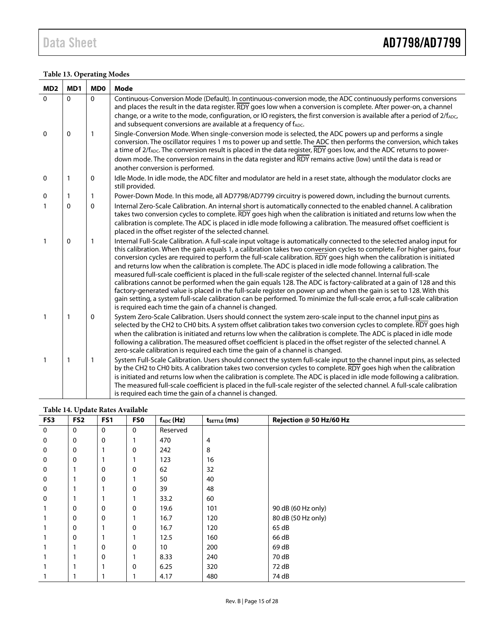### <span id="page-14-0"></span>**Table 13. Operating Modes**

| MD <sub>2</sub> | MD1         | MD <sub>0</sub> | Mode                                                                                                                                                                                                                                                                                                                                                                                                                                                                                                                                                                                                                                                                                                                                                                                                                                                                                                                                                                                                                                                    |
|-----------------|-------------|-----------------|---------------------------------------------------------------------------------------------------------------------------------------------------------------------------------------------------------------------------------------------------------------------------------------------------------------------------------------------------------------------------------------------------------------------------------------------------------------------------------------------------------------------------------------------------------------------------------------------------------------------------------------------------------------------------------------------------------------------------------------------------------------------------------------------------------------------------------------------------------------------------------------------------------------------------------------------------------------------------------------------------------------------------------------------------------|
| $\mathbf{0}$    | $\Omega$    | $\Omega$        | Continuous-Conversion Mode (Default). In continuous-conversion mode, the ADC continuously performs conversions<br>and places the result in the data register. RDY goes low when a conversion is complete. After power-on, a channel                                                                                                                                                                                                                                                                                                                                                                                                                                                                                                                                                                                                                                                                                                                                                                                                                     |
|                 |             |                 | change, or a write to the mode, configuration, or IO registers, the first conversion is available after a period of 2/fADC,<br>and subsequent conversions are available at a frequency of fADC.                                                                                                                                                                                                                                                                                                                                                                                                                                                                                                                                                                                                                                                                                                                                                                                                                                                         |
| $\mathbf 0$     | $\mathbf 0$ | $\mathbf{1}$    | Single-Conversion Mode. When single-conversion mode is selected, the ADC powers up and performs a single<br>conversion. The oscillator requires 1 ms to power up and settle. The ADC then performs the conversion, which takes<br>a time of 2/f <sub>ADC</sub> . The conversion result is placed in the data register, RDY goes low, and the ADC returns to power-<br>down mode. The conversion remains in the data register and RDY remains active (low) until the data is read or<br>another conversion is performed.                                                                                                                                                                                                                                                                                                                                                                                                                                                                                                                                 |
| 0               | 1           | 0               | Idle Mode. In idle mode, the ADC filter and modulator are held in a reset state, although the modulator clocks are<br>still provided.                                                                                                                                                                                                                                                                                                                                                                                                                                                                                                                                                                                                                                                                                                                                                                                                                                                                                                                   |
| $\mathbf 0$     | 1           | 1               | Power-Down Mode. In this mode, all AD7798/AD7799 circuitry is powered down, including the burnout currents.                                                                                                                                                                                                                                                                                                                                                                                                                                                                                                                                                                                                                                                                                                                                                                                                                                                                                                                                             |
| $\mathbf{1}$    | 0           | $\mathbf 0$     | Internal Zero-Scale Calibration. An internal short is automatically connected to the enabled channel. A calibration<br>takes two conversion cycles to complete. RDY goes high when the calibration is initiated and returns low when the<br>calibration is complete. The ADC is placed in idle mode following a calibration. The measured offset coefficient is<br>placed in the offset register of the selected channel.                                                                                                                                                                                                                                                                                                                                                                                                                                                                                                                                                                                                                               |
| $\mathbf{1}$    | $\mathbf 0$ | 1               | Internal Full-Scale Calibration. A full-scale input voltage is automatically connected to the selected analog input for<br>this calibration. When the gain equals 1, a calibration takes two conversion cycles to complete. For higher gains, four<br>conversion cycles are required to perform the full-scale calibration. RDY goes high when the calibration is initiated<br>and returns low when the calibration is complete. The ADC is placed in idle mode following a calibration. The<br>measured full-scale coefficient is placed in the full-scale register of the selected channel. Internal full-scale<br>calibrations cannot be performed when the gain equals 128. The ADC is factory-calibrated at a gain of 128 and this<br>factory-generated value is placed in the full-scale register on power up and when the gain is set to 128. With this<br>gain setting, a system full-scale calibration can be performed. To minimize the full-scale error, a full-scale calibration<br>is required each time the gain of a channel is changed. |
| $\mathbf{1}$    | 1           | $\mathbf 0$     | System Zero-Scale Calibration. Users should connect the system zero-scale input to the channel input pins as<br>selected by the CH2 to CH0 bits. A system offset calibration takes two conversion cycles to complete. RDY goes high<br>when the calibration is initiated and returns low when the calibration is complete. The ADC is placed in idle mode<br>following a calibration. The measured offset coefficient is placed in the offset register of the selected channel. A<br>zero-scale calibration is required each time the gain of a channel is changed.                                                                                                                                                                                                                                                                                                                                                                                                                                                                                     |
| $\mathbf{1}$    | 1           | $\mathbf{1}$    | System Full-Scale Calibration. Users should connect the system full-scale input to the channel input pins, as selected<br>by the CH2 to CH0 bits. A calibration takes two conversion cycles to complete. RDY goes high when the calibration<br>is initiated and returns low when the calibration is complete. The ADC is placed in idle mode following a calibration.<br>The measured full-scale coefficient is placed in the full-scale register of the selected channel. A full-scale calibration<br>is required each time the gain of a channel is changed.                                                                                                                                                                                                                                                                                                                                                                                                                                                                                          |

#### <span id="page-14-1"></span>**Table 14. Update Rates Available**

| FS3         | л.<br>FS <sub>2</sub> | FS1         | FS0         | $f_{ADC}$ (Hz)  | tsetTLE (ms) | Rejection @ 50 Hz/60 Hz |
|-------------|-----------------------|-------------|-------------|-----------------|--------------|-------------------------|
| 0           | $\mathbf 0$           | $\mathbf 0$ | $\mathbf 0$ | Reserved        |              |                         |
| 0           | $\mathbf 0$           | $\mathbf 0$ |             | 470             | 4            |                         |
| 0           | $\mathbf 0$           |             | 0           | 242             | 8            |                         |
| 0           | $\mathbf 0$           |             |             | 123             | 16           |                         |
| 0           |                       | 0           | 0           | 62              | 32           |                         |
| $\mathbf 0$ |                       | $\mathbf 0$ |             | 50              | 40           |                         |
| 0           |                       |             | 0           | 39              | 48           |                         |
| 0           |                       |             |             | 33.2            | 60           |                         |
|             | 0                     | $\mathbf 0$ | 0           | 19.6            | 101          | 90 dB (60 Hz only)      |
|             | 0                     | 0           |             | 16.7            | 120          | 80 dB (50 Hz only)      |
|             | 0                     | 1           | 0           | 16.7            | 120          | 65 dB                   |
|             | 0                     | ٠           |             | 12.5            | 160          | 66 dB                   |
|             |                       | $\mathbf 0$ | 0           | 10 <sup>°</sup> | 200          | 69 dB                   |
|             |                       | $\mathbf 0$ |             | 8.33            | 240          | 70 dB                   |
|             |                       |             | 0           | 6.25            | 320          | 72 dB                   |
|             |                       |             |             | 4.17            | 480          | 74 dB                   |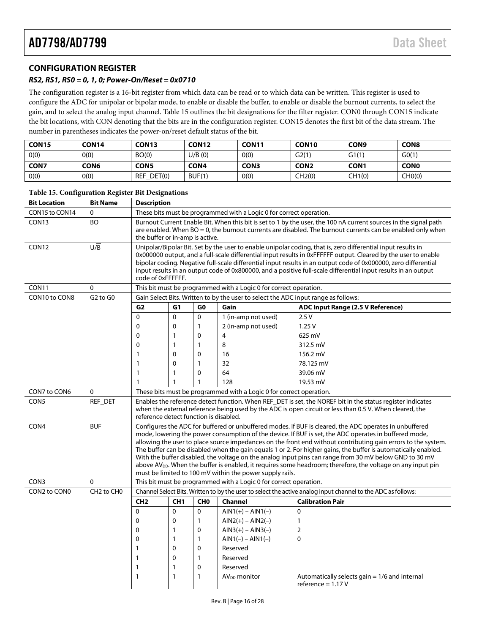### <span id="page-15-0"></span>**CONFIGURATION REGISTER**

#### *RS2, RS1, RS0 = 0, 1, 0; Power-On/Reset = 0x0710*

<span id="page-15-1"></span>**Table 15. Configuration Register Bit Designations**

The configuration register is a 16-bit register from which data can be read or to which data can be written. This register is used to configure the ADC for unipolar or bipolar mode, to enable or disable the buffer, to enable or disable the burnout currents, to select the gain, and to select the analog input channel. [Table 15](#page-15-1) outlines the bit designations for the filter register. CON0 through CON15 indicate the bit locations, with CON denoting that the bits are in the configuration register. CON15 denotes the first bit of the data stream. The number in parentheses indicates the power-on/reset default status of the bit.

| <b>CON15</b> | <b>CON14</b>     | CON <sub>13</sub> | CON <sub>12</sub> | CON <sub>11</sub> | CON <sub>10</sub> | CON <sub>9</sub> | <b>CON8</b> |
|--------------|------------------|-------------------|-------------------|-------------------|-------------------|------------------|-------------|
| O(0)         | 0(0)             | BO(0)             | U/B(0)            | O(0)              | G2(1)             | G1(1)            | G(1)        |
| <b>CON7</b>  | CON <sub>6</sub> | CON5              | <b>CON4</b>       | <b>CON3</b>       | CON <sub>2</sub>  | <b>CON1</b>      | <b>CONO</b> |
| 0(0)         | 0(0)             | REF_DET(0)        | BUF(1)            | O(0)              | CH2(0)            | CH1(0)           | CHO(0)      |

| <b>Bit Location</b> | <b>Bit Name</b>                    | <b>Description</b>                                                                                                                                                                                                                                                                                                                                                                                                                                                                                                                                                                                                                                                                                                                                                                                                       |                 |                 |                                                                     |                                                                      |
|---------------------|------------------------------------|--------------------------------------------------------------------------------------------------------------------------------------------------------------------------------------------------------------------------------------------------------------------------------------------------------------------------------------------------------------------------------------------------------------------------------------------------------------------------------------------------------------------------------------------------------------------------------------------------------------------------------------------------------------------------------------------------------------------------------------------------------------------------------------------------------------------------|-----------------|-----------------|---------------------------------------------------------------------|----------------------------------------------------------------------|
| CON15 to CON14      | $\mathbf{0}$                       | These bits must be programmed with a Logic 0 for correct operation.                                                                                                                                                                                                                                                                                                                                                                                                                                                                                                                                                                                                                                                                                                                                                      |                 |                 |                                                                     |                                                                      |
| CON <sub>13</sub>   | <b>BO</b>                          | Burnout Current Enable Bit. When this bit is set to 1 by the user, the 100 nA current sources in the signal path<br>are enabled. When BO = 0, the burnout currents are disabled. The burnout currents can be enabled only when<br>the buffer or in-amp is active.                                                                                                                                                                                                                                                                                                                                                                                                                                                                                                                                                        |                 |                 |                                                                     |                                                                      |
| CON <sub>12</sub>   | $U/\overline{B}$                   | Unipolar/Bipolar Bit. Set by the user to enable unipolar coding, that is, zero differential input results in<br>0x000000 output, and a full-scale differential input results in 0xFFFFFF output. Cleared by the user to enable<br>bipolar coding. Negative full-scale differential input results in an output code of 0x000000, zero differential<br>input results in an output code of 0x800000, and a positive full-scale differential input results in an output<br>code of 0xFFFFFF.                                                                                                                                                                                                                                                                                                                                 |                 |                 |                                                                     |                                                                      |
| CON <sub>11</sub>   | $\Omega$                           | This bit must be programmed with a Logic 0 for correct operation.                                                                                                                                                                                                                                                                                                                                                                                                                                                                                                                                                                                                                                                                                                                                                        |                 |                 |                                                                     |                                                                      |
| CON10 to CON8       | $G2$ to $G0$                       | Gain Select Bits. Written to by the user to select the ADC input range as follows:                                                                                                                                                                                                                                                                                                                                                                                                                                                                                                                                                                                                                                                                                                                                       |                 |                 |                                                                     |                                                                      |
|                     |                                    | G <sub>2</sub>                                                                                                                                                                                                                                                                                                                                                                                                                                                                                                                                                                                                                                                                                                                                                                                                           | G <sub>1</sub>  | G <sub>0</sub>  | Gain                                                                | ADC Input Range (2.5 V Reference)                                    |
|                     |                                    | $\mathbf 0$                                                                                                                                                                                                                                                                                                                                                                                                                                                                                                                                                                                                                                                                                                                                                                                                              | $\Omega$        | $\Omega$        | 1 (in-amp not used)                                                 | 2.5V                                                                 |
|                     |                                    | 0                                                                                                                                                                                                                                                                                                                                                                                                                                                                                                                                                                                                                                                                                                                                                                                                                        | 0               | 1               | 2 (in-amp not used)                                                 | 1.25V                                                                |
|                     |                                    | $\mathbf 0$                                                                                                                                                                                                                                                                                                                                                                                                                                                                                                                                                                                                                                                                                                                                                                                                              | 1               | 0               | 4                                                                   | 625 mV                                                               |
|                     |                                    | $\mathbf 0$                                                                                                                                                                                                                                                                                                                                                                                                                                                                                                                                                                                                                                                                                                                                                                                                              | 1               | 1               | 8                                                                   | 312.5 mV                                                             |
|                     |                                    | 1                                                                                                                                                                                                                                                                                                                                                                                                                                                                                                                                                                                                                                                                                                                                                                                                                        | 0               | 0               | 16                                                                  | 156.2 mV                                                             |
|                     |                                    | 1                                                                                                                                                                                                                                                                                                                                                                                                                                                                                                                                                                                                                                                                                                                                                                                                                        | 0               | 1               | 32                                                                  | 78.125 mV                                                            |
|                     |                                    | 1                                                                                                                                                                                                                                                                                                                                                                                                                                                                                                                                                                                                                                                                                                                                                                                                                        | $\mathbf{1}$    | $\mathbf{0}$    | 64                                                                  | 39.06 mV                                                             |
|                     |                                    | 1                                                                                                                                                                                                                                                                                                                                                                                                                                                                                                                                                                                                                                                                                                                                                                                                                        |                 | 1               | 128                                                                 | 19.53 mV                                                             |
| CON7 to CON6        | $\Omega$                           |                                                                                                                                                                                                                                                                                                                                                                                                                                                                                                                                                                                                                                                                                                                                                                                                                          |                 |                 | These bits must be programmed with a Logic 0 for correct operation. |                                                                      |
| CON5                | REF_DET                            | Enables the reference detect function. When REF_DET is set, the NOREF bit in the status register indicates<br>when the external reference being used by the ADC is open circuit or less than 0.5 V. When cleared, the<br>reference detect function is disabled.                                                                                                                                                                                                                                                                                                                                                                                                                                                                                                                                                          |                 |                 |                                                                     |                                                                      |
| CON4<br>CON3        | <b>BUF</b><br>$\mathbf{0}$         | Configures the ADC for buffered or unbuffered modes. If BUF is cleared, the ADC operates in unbuffered<br>mode, lowering the power consumption of the device. If BUF is set, the ADC operates in buffered mode,<br>allowing the user to place source impedances on the front end without contributing gain errors to the system.<br>The buffer can be disabled when the gain equals 1 or 2. For higher gains, the buffer is automatically enabled.<br>With the buffer disabled, the voltage on the analog input pins can range from 30 mV below GND to 30 mV<br>above AV <sub>DD</sub> . When the buffer is enabled, it requires some headroom; therefore, the voltage on any input pin<br>must be limited to 100 mV within the power supply rails.<br>This bit must be programmed with a Logic 0 for correct operation. |                 |                 |                                                                     |                                                                      |
| CON2 to CON0        | CH <sub>2</sub> to CH <sub>0</sub> | Channel Select Bits. Written to by the user to select the active analog input channel to the ADC as follows:                                                                                                                                                                                                                                                                                                                                                                                                                                                                                                                                                                                                                                                                                                             |                 |                 |                                                                     |                                                                      |
|                     |                                    | CH <sub>2</sub>                                                                                                                                                                                                                                                                                                                                                                                                                                                                                                                                                                                                                                                                                                                                                                                                          | CH <sub>1</sub> | CH <sub>0</sub> | Channel                                                             | <b>Calibration Pair</b>                                              |
|                     |                                    | 0                                                                                                                                                                                                                                                                                                                                                                                                                                                                                                                                                                                                                                                                                                                                                                                                                        | $\Omega$        | 0               | $AIN1(+) - AIN1(-)$                                                 | 0                                                                    |
|                     |                                    | 0                                                                                                                                                                                                                                                                                                                                                                                                                                                                                                                                                                                                                                                                                                                                                                                                                        | 0               | $\mathbf{1}$    | $AIN2(+) - AIN2(-)$                                                 | 1                                                                    |
|                     |                                    | $\mathbf 0$                                                                                                                                                                                                                                                                                                                                                                                                                                                                                                                                                                                                                                                                                                                                                                                                              | 1               | $\mathbf 0$     | $AIN3(+) - AIN3(-)$                                                 | 2                                                                    |
|                     |                                    | 0                                                                                                                                                                                                                                                                                                                                                                                                                                                                                                                                                                                                                                                                                                                                                                                                                        | 1               | $\mathbf{1}$    | $AIN1(-) - AIN1(-)$                                                 | 0                                                                    |
|                     |                                    | $\mathbf{1}$                                                                                                                                                                                                                                                                                                                                                                                                                                                                                                                                                                                                                                                                                                                                                                                                             | $\Omega$        | $\mathbf 0$     | Reserved                                                            |                                                                      |
|                     |                                    | $\mathbf{1}$                                                                                                                                                                                                                                                                                                                                                                                                                                                                                                                                                                                                                                                                                                                                                                                                             | 0               | $\mathbf{1}$    | Reserved                                                            |                                                                      |
|                     |                                    | $\mathbf{1}$                                                                                                                                                                                                                                                                                                                                                                                                                                                                                                                                                                                                                                                                                                                                                                                                             | 1               | $\mathbf 0$     | Reserved                                                            |                                                                      |
|                     |                                    | $\mathbf{1}$                                                                                                                                                                                                                                                                                                                                                                                                                                                                                                                                                                                                                                                                                                                                                                                                             | 1               | $\mathbf{1}$    | AV <sub>DD</sub> monitor                                            | Automatically selects gain = 1/6 and internal<br>reference = $1.17V$ |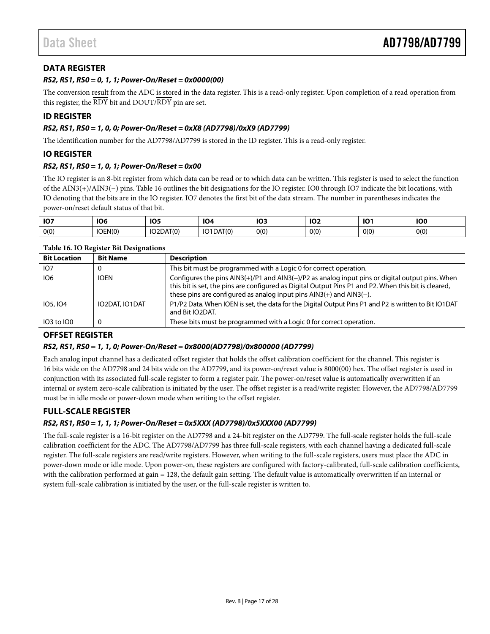### <span id="page-16-0"></span>**DATA REGISTER**

#### *RS2, RS1, RS0 = 0, 1, 1; Power-On/Reset = 0x0000(00)*

The conversion result from the ADC is stored in the data register. This is a read-only register. Upon completion of a read operation from this register, the RDY bit and DOUT/RDY pin are set.

#### <span id="page-16-1"></span>**ID REGISTER**

#### *RS2, RS1, RS0 = 1, 0, 0; Power-On/Reset = 0xX8 (AD7798)/0xX9 (AD7799)*

The identification number for the AD7798/AD7799 is stored in the ID register. This is a read-only register.

#### <span id="page-16-2"></span>**IO REGISTER**

#### *RS2, RS1, RS0 = 1, 0, 1; Power-On/Reset = 0x00*

The IO register is an 8-bit register from which data can be read or to which data can be written. This register is used to select the function of the AIN3(+)/AIN3(−) pins. Table 16 outlines the bit designations for the IO register. IO0 through IO7 indicate the bit locations, with IO denoting that the bits are in the IO register. IO7 denotes the first bit of the data stream. The number in parentheses indicates the power-on/reset default status of that bit.

| <b>107</b> | <b>106</b><br>$ -$ | 10F<br>πυ.<br>$ -$ | 104                     | <b>103</b><br>$ -$ | $\sim$<br>ישו | IO.  | <b>IO0</b> |
|------------|--------------------|--------------------|-------------------------|--------------------|---------------|------|------------|
| 0(0)       | IOEN(0)            | IO2DAT(0)          | AT(0)<br>IO1D<br>I DAI. | 0(0)               | 0(0)          | O(0) | 0(0)       |

#### **Table 16. IO Register Bit Designations**

| <b>Bit Location</b> | <b>Bit Name</b> | <b>Description</b>                                                                                                                                                                                                                                                                  |
|---------------------|-----------------|-------------------------------------------------------------------------------------------------------------------------------------------------------------------------------------------------------------------------------------------------------------------------------------|
| IO <sub>7</sub>     | O               | This bit must be programmed with a Logic 0 for correct operation.                                                                                                                                                                                                                   |
| IO <sub>6</sub>     | <b>IOEN</b>     | Configures the pins AIN3(+)/P1 and AIN3(-)/P2 as analog input pins or digital output pins. When<br>this bit is set, the pins are configured as Digital Output Pins P1 and P2. When this bit is cleared,<br>these pins are configured as analog input pins $AlN3(+)$ and $AlN3(-)$ . |
| 105, 104            | IO2DAT, IO1DAT  | P1/P2 Data. When IOEN is set, the data for the Digital Output Pins P1 and P2 is written to Bit IO1DAT<br>and Bit IO2DAT.                                                                                                                                                            |
| 103 to 100          | 0               | These bits must be programmed with a Logic 0 for correct operation.                                                                                                                                                                                                                 |

### <span id="page-16-3"></span>**OFFSET REGISTER**

#### *RS2, RS1, RS0 = 1, 1, 0; Power-On/Reset = 0x8000(AD7798)/0x800000 (AD7799)*

Each analog input channel has a dedicated offset register that holds the offset calibration coefficient for the channel. This register is 16 bits wide on the AD7798 and 24 bits wide on the AD7799, and its power-on/reset value is 8000(00) hex. The offset register is used in conjunction with its associated full-scale register to form a register pair. The power-on/reset value is automatically overwritten if an internal or system zero-scale calibration is initiated by the user. The offset register is a read/write register. However, the AD7798/AD7799 must be in idle mode or power-down mode when writing to the offset register.

### <span id="page-16-4"></span>**FULL-SCALE REGISTER**

#### *RS2, RS1, RS0 = 1, 1, 1; Power-On/Reset = 0x5XXX (AD7798)/0x5XXX00 (AD7799)*

The full-scale register is a 16-bit register on the AD7798 and a 24-bit register on the AD7799. The full-scale register holds the full-scale calibration coefficient for the ADC. The AD7798/AD7799 has three full-scale registers, with each channel having a dedicated full-scale register. The full-scale registers are read/write registers. However, when writing to the full-scale registers, users must place the ADC in power-down mode or idle mode. Upon power-on, these registers are configured with factory-calibrated, full-scale calibration coefficients, with the calibration performed at gain = 128, the default gain setting. The default value is automatically overwritten if an internal or system full-scale calibration is initiated by the user, or the full-scale register is written to.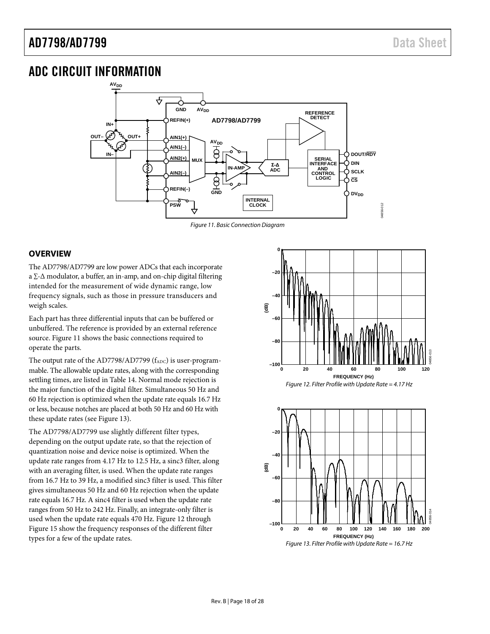## <span id="page-17-0"></span>ADC CIRCUIT INFORMATION



#### *Figure 11. Basic Connection Diagram*

#### <span id="page-17-2"></span><span id="page-17-1"></span>**OVERVIEW**

The AD7798/AD7799 are low power ADCs that each incorporate a ∑-∆ modulator, a buffer, an in-amp, and on-chip digital filtering intended for the measurement of wide dynamic range, low frequency signals, such as those in pressure transducers and weigh scales.

Each part has three differential inputs that can be buffered or unbuffered. The reference is provided by an external reference source. [Figure 11](#page-17-2) shows the basic connections required to operate the parts.

The output rate of the AD7798/AD7799  $(f_{ADC})$  is user-programmable. The allowable update rates, along with the corresponding settling times, are listed i[n Table 14.](#page-14-1) Normal mode rejection is the major function of the digital filter. Simultaneous 50 Hz and 60 Hz rejection is optimized when the update rate equals 16.7 Hz or less, because notches are placed at both 50 Hz and 60 Hz with these update rates (see [Figure 13\)](#page-17-3).

The AD7798/AD7799 use slightly different filter types, depending on the output update rate, so that the rejection of quantization noise and device noise is optimized. When the update rate ranges from 4.17 Hz to 12.5 Hz, a sinc3 filter, along with an averaging filter, is used. When the update rate ranges from 16.7 Hz to 39 Hz, a modified sinc3 filter is used. This filter gives simultaneous 50 Hz and 60 Hz rejection when the update rate equals 16.7 Hz. A sinc4 filter is used when the update rate ranges from 50 Hz to 242 Hz. Finally, an integrate-only filter is used when the update rate equals 470 Hz. [Figure 12](#page-17-4) through [Figure 15](#page-18-1) show the frequency responses of the different filter types for a few of the update rates.



<span id="page-17-4"></span><span id="page-17-3"></span>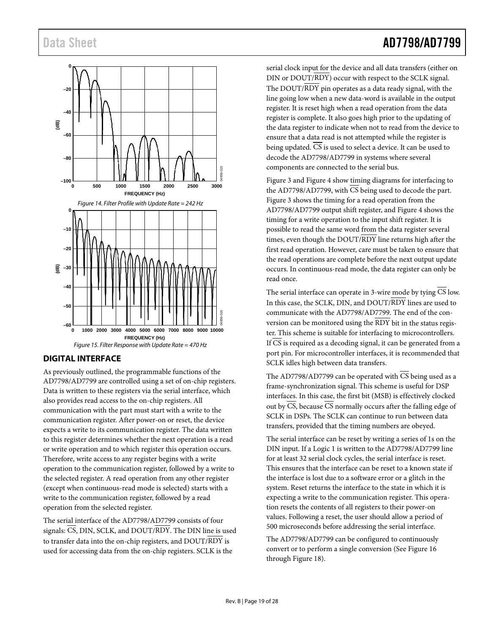

### <span id="page-18-1"></span><span id="page-18-0"></span>**DIGITAL INTERFACE**

As previously outlined, the programmable functions of the AD7798/AD7799 are controlled using a set of on-chip registers. Data is written to these registers via the serial interface, which also provides read access to the on-chip registers. All communication with the part must start with a write to the communication register. After power-on or reset, the device expects a write to its communication register. The data written to this register determines whether the next operation is a read or write operation and to which register this operation occurs. Therefore, write access to any register begins with a write operation to the communication register, followed by a write to the selected register. A read operation from any other register (except when continuous-read mode is selected) starts with a write to the communication register, followed by a read operation from the selected register.

The serial interface of the AD7798/AD7799 consists of four signals:  $\overline{CS}$ , DIN, SCLK, and DOUT/RDY. The DIN line is used to transfer data into the on-chip registers, and DOUT/RDY is used for accessing data from the on-chip registers. SCLK is the

serial clock input for the device and all data transfers (either on DIN or DOUT/RDY) occur with respect to the SCLK signal. The  $DOUT/RDY$  pin operates as a data ready signal, with the line going low when a new data-word is available in the output register. It is reset high when a read operation from the data register is complete. It also goes high prior to the updating of the data register to indicate when not to read from the device to ensure that a data read is not attempted while the register is being updated. CS is used to select a device. It can be used to decode the AD7798/AD7799 in systems where several components are connected to the serial bus.

[Figure 3](#page-6-0) an[d Figure 4](#page-6-1) show timing diagrams for interfacing to the AD7798/AD7799, with  $\overline{\text{CS}}$  being used to decode the part. [Figure 3](#page-6-0) shows the timing for a read operation from the AD7798/AD7799 output shift register, and Figure 4 shows the timing for a write operation to the input shift register. It is possible to read the same word from the data register several times, even though the DOUT/RDY line returns high after the first read operation. However, care must be taken to ensure that the read operations are complete before the next output update occurs. In continuous-read mode, the data register can only be read once.

The serial interface can operate in 3-wire mode by tying  $\overline{CS}$  low. In this case, the SCLK, DIN, and DOUT/RDY lines are used to communicate with the AD7798/AD7799. The end of the conversion can be monitored using the RDY bit in the status register. This scheme is suitable for interfacing to microcontrollers. If  $\overline{CS}$  is required as a decoding signal, it can be generated from a port pin. For microcontroller interfaces, it is recommended that SCLK idles high between data transfers.

The AD7798/AD7799 can be operated with  $\overline{\text{CS}}$  being used as a frame-synchronization signal. This scheme is useful for DSP interfaces. In this case, the first bit (MSB) is effectively clocked out by CS, because CS normally occurs after the falling edge of SCLK in DSPs. The SCLK can continue to run between data transfers, provided that the timing numbers are obeyed.

The serial interface can be reset by writing a series of 1s on the DIN input. If a Logic 1 is written to the AD7798/AD7799 line for at least 32 serial clock cycles, the serial interface is reset. This ensures that the interface can be reset to a known state if the interface is lost due to a software error or a glitch in the system. Reset returns the interface to the state in which it is expecting a write to the communication register. This operation resets the contents of all registers to their power-on values. Following a reset, the user should allow a period of 500 microseconds before addressing the serial interface.

The AD7798/AD7799 can be configured to continuously convert or to perform a single conversion (See [Figure 16](#page-19-0) through [Figure 18\)](#page-20-0).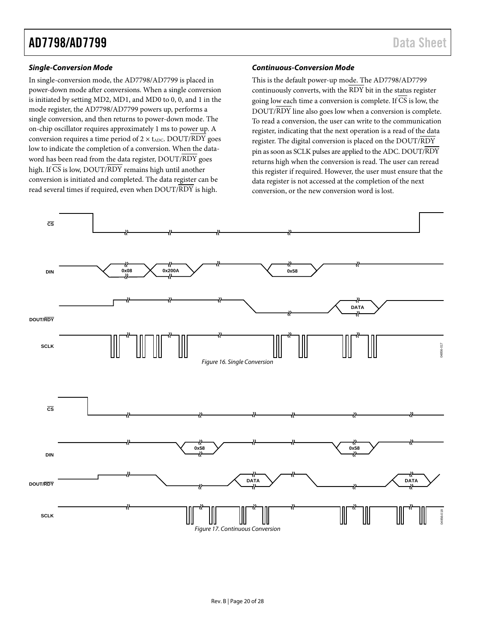# AD7798/AD7799 Data Sheet

#### *Single-Conversion Mode*

In single-conversion mode, the AD7798/AD7799 is placed in power-down mode after conversions. When a single conversion is initiated by setting MD2, MD1, and MD0 to 0, 0, and 1 in the mode register, the AD7798/AD7799 powers up, performs a single conversion, and then returns to power-down mode. The on-chip oscillator requires approximately 1 ms to power up. A conversion requires a time period of  $2 \times$  t<sub>ADC</sub>. DOUT/RDY goes low to indicate the completion of a conversion. When the dataword has been read from the data register, DOUT/RDY goes high. If  $\overline{CS}$  is low, DOUT/RDY remains high until another conversion is initiated and completed. The data register can be read several times if required, even when DOUT/RDY is high.

#### *Continuous-Conversion Mode*

This is the default power-up mode. The AD7798/AD7799 continuously converts, with the  $\overline{\text{RDY}}$  bit in the status register going low each time a conversion is complete. If CS is low, the DOUT/RDY line also goes low when a conversion is complete. To read a conversion, the user can write to the communication register, indicating that the next operation is a read of the data register. The digital conversion is placed on the DOUT/RDY pin as soon as SCLK pulses are applied to the ADC. DOUT/RDY returns high when the conversion is read. The user can reread this register if required. However, the user must ensure that the data register is not accessed at the completion of the next conversion, or the new conversion word is lost.

<span id="page-19-0"></span>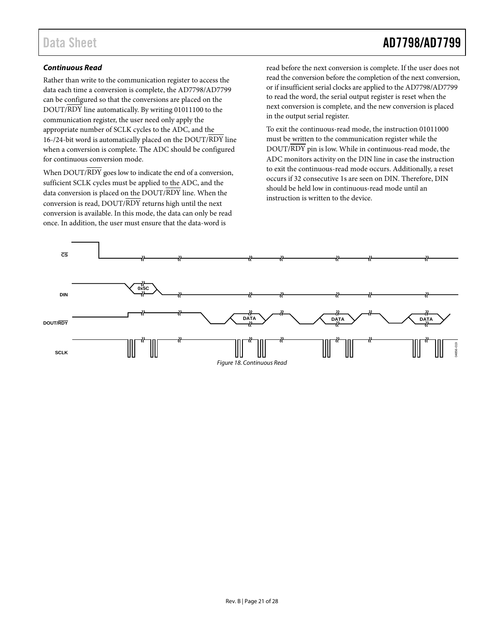# Data Sheet **AD7798/AD7799**

#### *Continuous Read*

Rather than write to the communication register to access the data each time a conversion is complete, the AD7798/AD7799 can be configured so that the conversions are placed on the DOUT/RDY line automatically. By writing 01011100 to the communication register, the user need only apply the appropriate number of SCLK cycles to the ADC, and the 16-/24-bit word is automatically placed on the DOUT/RDY line when a conversion is complete. The ADC should be configured for continuous conversion mode.

When DOUT/RDY goes low to indicate the end of a conversion, sufficient SCLK cycles must be applied to the ADC, and the data conversion is placed on the DOUT/RDY line. When the conversion is read, DOUT/RDY returns high until the next conversion is available. In this mode, the data can only be read once. In addition, the user must ensure that the data-word is

read before the next conversion is complete. If the user does not read the conversion before the completion of the next conversion, or if insufficient serial clocks are applied to the AD7798/AD7799 to read the word, the serial output register is reset when the next conversion is complete, and the new conversion is placed in the output serial register.

To exit the continuous-read mode, the instruction 01011000 must be written to the communication register while the DOUT/RDY pin is low. While in continuous-read mode, the ADC monitors activity on the DIN line in case the instruction to exit the continuous-read mode occurs. Additionally, a reset occurs if 32 consecutive 1s are seen on DIN. Therefore, DIN should be held low in continuous-read mode until an instruction is written to the device.

<span id="page-20-0"></span>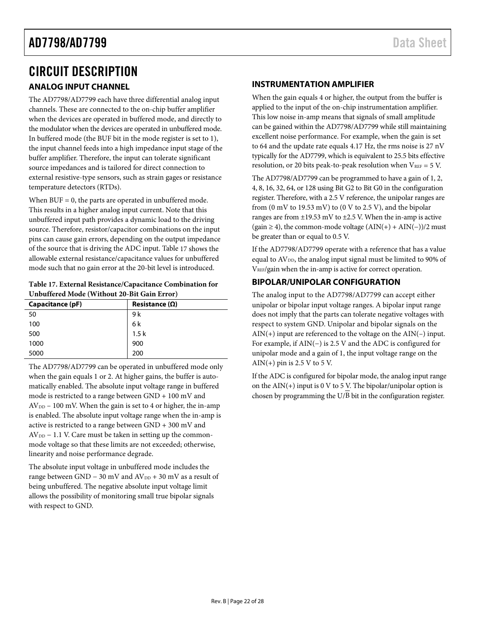# <span id="page-21-0"></span>CIRCUIT DESCRIPTION

### <span id="page-21-1"></span>**ANALOG INPUT CHANNEL**

The AD7798/AD7799 each have three differential analog input channels. These are connected to the on-chip buffer amplifier when the devices are operated in buffered mode, and directly to the modulator when the devices are operated in unbuffered mode. In buffered mode (the BUF bit in the mode register is set to 1), the input channel feeds into a high impedance input stage of the buffer amplifier. Therefore, the input can tolerate significant source impedances and is tailored for direct connection to external resistive-type sensors, such as strain gages or resistance temperature detectors (RTDs).

When  $BUF = 0$ , the parts are operated in unbuffered mode. This results in a higher analog input current. Note that this unbuffered input path provides a dynamic load to the driving source. Therefore, resistor/capacitor combinations on the input pins can cause gain errors, depending on the output impedance of the source that is driving the ADC input. [Table 17](#page-21-4) shows the allowable external resistance/capacitance values for unbuffered mode such that no gain error at the 20-bit level is introduced.

<span id="page-21-4"></span>

| Table 17. External Resistance/Capacitance Combination for |
|-----------------------------------------------------------|
| Unbuffered Mode (Without 20-Bit Gain Error)               |

| Capacitance (pF) | Resistance $(\Omega)$ |
|------------------|-----------------------|
| 50               | 9 k                   |
| 100              | 6 k                   |
| 500              | 1.5k                  |
| 1000             | 900                   |
| 5000             | 200                   |

The AD7798/AD7799 can be operated in unbuffered mode only when the gain equals 1 or 2. At higher gains, the buffer is automatically enabled. The absolute input voltage range in buffered mode is restricted to a range between GND + 100 mV and  $AV<sub>DD</sub> - 100$  mV. When the gain is set to 4 or higher, the in-amp is enabled. The absolute input voltage range when the in-amp is active is restricted to a range between GND + 300 mV and  $AV<sub>DD</sub> - 1.1$  V. Care must be taken in setting up the commonmode voltage so that these limits are not exceeded; otherwise, linearity and noise performance degrade.

The absolute input voltage in unbuffered mode includes the range between GND – 30 mV and  $AV_{DD}$  + 30 mV as a result of being unbuffered. The negative absolute input voltage limit allows the possibility of monitoring small true bipolar signals with respect to GND.

### <span id="page-21-2"></span>**INSTRUMENTATION AMPLIFIER**

When the gain equals 4 or higher, the output from the buffer is applied to the input of the on-chip instrumentation amplifier. This low noise in-amp means that signals of small amplitude can be gained within the AD7798/AD7799 while still maintaining excellent noise performance. For example, when the gain is set to 64 and the update rate equals 4.17 Hz, the rms noise is 27 nV typically for the AD7799, which is equivalent to 25.5 bits effective resolution, or 20 bits peak-to-peak resolution when  $V_{REF} = 5 V$ .

The AD7798/AD7799 can be programmed to have a gain of 1, 2, 4, 8, 16, 32, 64, or 128 using Bit G2 to Bit G0 in the configuration register. Therefore, with a 2.5 V reference, the unipolar ranges are from (0 mV to 19.53 mV) to (0 V to 2.5 V), and the bipolar ranges are from  $\pm$ 19.53 mV to  $\pm$ 2.5 V. When the in-amp is active (gain  $\geq$  4), the common-mode voltage (AIN(+) + AIN(−))/2 must be greater than or equal to 0.5 V.

If the AD7798/AD7799 operate with a reference that has a value equal to AV<sub>DD</sub>, the analog input signal must be limited to 90% of VREF/gain when the in-amp is active for correct operation.

### <span id="page-21-3"></span>**BIPOLAR/UNIPOLAR CONFIGURATION**

The analog input to the AD7798/AD7799 can accept either unipolar or bipolar input voltage ranges. A bipolar input range does not imply that the parts can tolerate negative voltages with respect to system GND. Unipolar and bipolar signals on the  $AIN(+)$  input are referenced to the voltage on the  $AIN(-)$  input. For example, if AIN(−) is 2.5 V and the ADC is configured for unipolar mode and a gain of 1, the input voltage range on the AIN(+) pin is 2.5 V to 5 V.

If the ADC is configured for bipolar mode, the analog input range on the  $AIN(+)$  input is 0 V to 5 V. The bipolar/unipolar option is chosen by programming the  $U/B$  bit in the configuration register.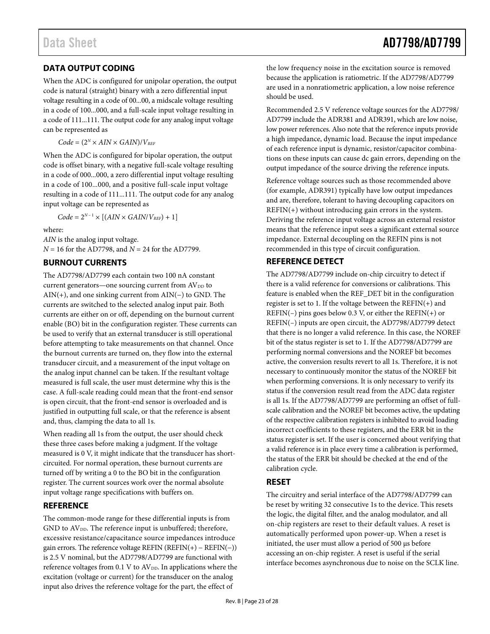### <span id="page-22-0"></span>**DATA OUTPUT CODING**

When the ADC is configured for unipolar operation, the output code is natural (straight) binary with a zero differential input voltage resulting in a code of 00...00, a midscale voltage resulting in a code of 100...000, and a full-scale input voltage resulting in a code of 111...111. The output code for any analog input voltage can be represented as

 $Code = (2^N \times AIN \times GAIN)/V_{REF}$ 

When the ADC is configured for bipolar operation, the output code is offset binary, with a negative full-scale voltage resulting in a code of 000...000, a zero differential input voltage resulting in a code of 100...000, and a positive full-scale input voltage resulting in a code of 111...111. The output code for any analog input voltage can be represented as

 $Code = 2^{N-1} \times [(AIN \times GAIN/V_{REF}) + 1]$ 

where:

*AIN* is the analog input voltage. *N* = 16 for the AD7798, and *N* = 24 for the AD7799.

### <span id="page-22-1"></span>**BURNOUT CURRENTS**

The AD7798/AD7799 each contain two 100 nA constant current generators—one sourcing current from AV<sub>DD</sub> to AIN(+), and one sinking current from AIN(−) to GND. The currents are switched to the selected analog input pair. Both currents are either on or off, depending on the burnout current enable (BO) bit in the configuration register. These currents can be used to verify that an external transducer is still operational before attempting to take measurements on that channel. Once the burnout currents are turned on, they flow into the external transducer circuit, and a measurement of the input voltage on the analog input channel can be taken. If the resultant voltage measured is full scale, the user must determine why this is the case. A full-scale reading could mean that the front-end sensor is open circuit, that the front-end sensor is overloaded and is justified in outputting full scale, or that the reference is absent and, thus, clamping the data to all 1s.

When reading all 1s from the output, the user should check these three cases before making a judgment. If the voltage measured is 0 V, it might indicate that the transducer has shortcircuited. For normal operation, these burnout currents are turned off by writing a 0 to the BO bit in the configuration register. The current sources work over the normal absolute input voltage range specifications with buffers on.

### <span id="page-22-2"></span>**REFERENCE**

The common-mode range for these differential inputs is from GND to AV<sub>DD</sub>. The reference input is unbuffered; therefore, excessive resistance/capacitance source impedances introduce gain errors. The reference voltage REFIN (REFIN(+) − REFIN(−)) is 2.5 V nominal, but the AD7798/AD7799 are functional with reference voltages from 0.1 V to AV<sub>DD</sub>. In applications where the excitation (voltage or current) for the transducer on the analog input also drives the reference voltage for the part, the effect of

# Data Sheet **AD7798/AD7799**

the low frequency noise in the excitation source is removed because the application is ratiometric. If the AD7798/AD7799 are used in a nonratiometric application, a low noise reference should be used.

Recommended 2.5 V reference voltage sources for the AD7798/ AD7799 include the ADR381 and ADR391, which are low noise, low power references. Also note that the reference inputs provide a high impedance, dynamic load. Because the input impedance of each reference input is dynamic, resistor/capacitor combinations on these inputs can cause dc gain errors, depending on the output impedance of the source driving the reference inputs.

Reference voltage sources such as those recommended above (for example, ADR391) typically have low output impedances and are, therefore, tolerant to having decoupling capacitors on  $REFIN(+)$  without introducing gain errors in the system. Deriving the reference input voltage across an external resistor means that the reference input sees a significant external source impedance. External decoupling on the REFIN pins is not recommended in this type of circuit configuration.

### <span id="page-22-3"></span>**REFERENCE DETECT**

The AD7798/AD7799 include on-chip circuitry to detect if there is a valid reference for conversions or calibrations. This feature is enabled when the REF\_DET bit in the configuration register is set to 1. If the voltage between the REFIN(+) and REFIN(–) pins goes below 0.3 V, or either the REFIN(+) or REFIN(–) inputs are open circuit, the AD7798/AD7799 detect that there is no longer a valid reference. In this case, the NOREF bit of the status register is set to 1. If the AD7798/AD7799 are performing normal conversions and the NOREF bit becomes active, the conversion results revert to all 1s. Therefore, it is not necessary to continuously monitor the status of the NOREF bit when performing conversions. It is only necessary to verify its status if the conversion result read from the ADC data register is all 1s. If the AD7798/AD7799 are performing an offset of fullscale calibration and the NOREF bit becomes active, the updating of the respective calibration registers is inhibited to avoid loading incorrect coefficients to these registers, and the ERR bit in the status register is set. If the user is concerned about verifying that a valid reference is in place every time a calibration is performed, the status of the ERR bit should be checked at the end of the calibration cycle.

### <span id="page-22-4"></span>**RESET**

The circuitry and serial interface of the AD7798/AD7799 can be reset by writing 32 consecutive 1s to the device. This resets the logic, the digital filter, and the analog modulator, and all on-chip registers are reset to their default values. A reset is automatically performed upon power-up. When a reset is initiated, the user must allow a period of 500 µs before accessing an on-chip register. A reset is useful if the serial interface becomes asynchronous due to noise on the SCLK line.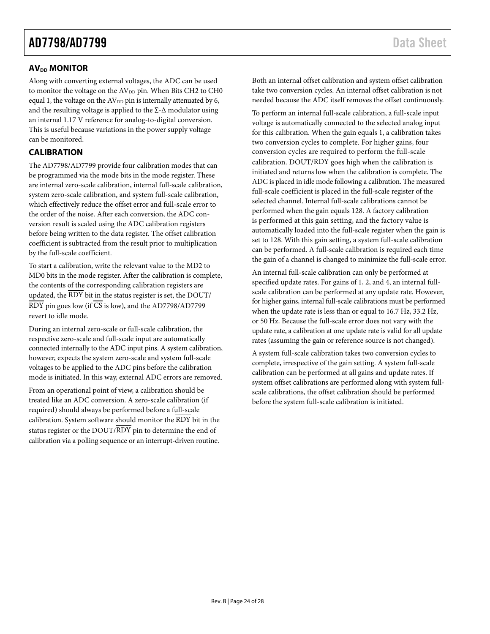### <span id="page-23-0"></span>**AV<sub>DD</sub> MONITOR**

Along with converting external voltages, the ADC can be used to monitor the voltage on the  $AV<sub>DD</sub>$  pin. When Bits CH2 to CH0 equal 1, the voltage on the AV<sub>DD</sub> pin is internally attenuated by 6, and the resulting voltage is applied to the ∑-∆ modulator using an internal 1.17 V reference for analog-to-digital conversion. This is useful because variations in the power supply voltage can be monitored.

### <span id="page-23-1"></span>**CALIBRATION**

The AD7798/AD7799 provide four calibration modes that can be programmed via the mode bits in the mode register. These are internal zero-scale calibration, internal full-scale calibration, system zero-scale calibration, and system full-scale calibration, which effectively reduce the offset error and full-scale error to the order of the noise. After each conversion, the ADC conversion result is scaled using the ADC calibration registers before being written to the data register. The offset calibration coefficient is subtracted from the result prior to multiplication by the full-scale coefficient.

To start a calibration, write the relevant value to the MD2 to MD0 bits in the mode register. After the calibration is complete, the contents of the corresponding calibration registers are updated, the  $\overline{\mathrm{RDY}}$  bit in the status register is set, the DOUT/  $\overline{RDY}$  pin goes low (if  $\overline{CS}$  is low), and the AD7798/AD7799 revert to idle mode.

During an internal zero-scale or full-scale calibration, the respective zero-scale and full-scale input are automatically connected internally to the ADC input pins. A system calibration, however, expects the system zero-scale and system full-scale voltages to be applied to the ADC pins before the calibration mode is initiated. In this way, external ADC errors are removed.

From an operational point of view, a calibration should be treated like an ADC conversion. A zero-scale calibration (if required) should always be performed before a full-scale calibration. System software should monitor the RDY bit in the status register or the DOUT/RDY pin to determine the end of calibration via a polling sequence or an interrupt-driven routine. Both an internal offset calibration and system offset calibration take two conversion cycles. An internal offset calibration is not needed because the ADC itself removes the offset continuously.

To perform an internal full-scale calibration, a full-scale input voltage is automatically connected to the selected analog input for this calibration. When the gain equals 1, a calibration takes two conversion cycles to complete. For higher gains, four conversion cycles are required to perform the full-scale calibration. DOUT/RDY goes high when the calibration is initiated and returns low when the calibration is complete. The ADC is placed in idle mode following a calibration. The measured full-scale coefficient is placed in the full-scale register of the selected channel. Internal full-scale calibrations cannot be performed when the gain equals 128. A factory calibration is performed at this gain setting, and the factory value is automatically loaded into the full-scale register when the gain is set to 128. With this gain setting, a system full-scale calibration can be performed. A full-scale calibration is required each time the gain of a channel is changed to minimize the full-scale error.

An internal full-scale calibration can only be performed at specified update rates. For gains of 1, 2, and 4, an internal fullscale calibration can be performed at any update rate. However, for higher gains, internal full-scale calibrations must be performed when the update rate is less than or equal to 16.7 Hz, 33.2 Hz, or 50 Hz. Because the full-scale error does not vary with the update rate, a calibration at one update rate is valid for all update rates (assuming the gain or reference source is not changed).

A system full-scale calibration takes two conversion cycles to complete, irrespective of the gain setting. A system full-scale calibration can be performed at all gains and update rates. If system offset calibrations are performed along with system fullscale calibrations, the offset calibration should be performed before the system full-scale calibration is initiated.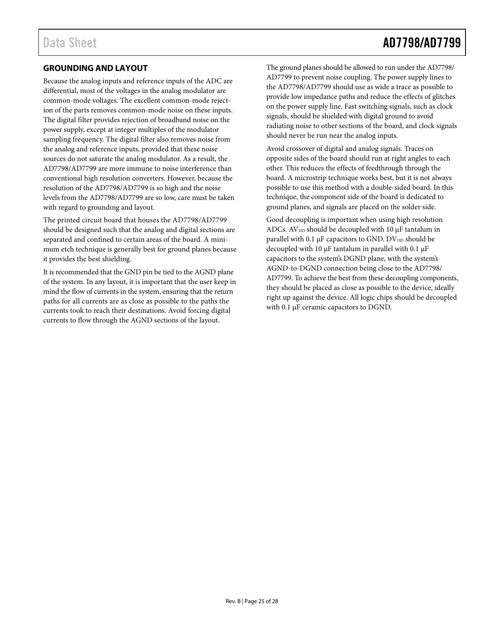# Data Sheet **AD7798/AD7799**

### <span id="page-24-0"></span>**GROUNDING AND LAYOUT**

Because the analog inputs and reference inputs of the ADC are differential, most of the voltages in the analog modulator are common-mode voltages. The excellent common-mode rejection of the parts removes common-mode noise on these inputs. The digital filter provides rejection of broadband noise on the power supply, except at integer multiples of the modulator sampling frequency. The digital filter also removes noise from the analog and reference inputs, provided that these noise sources do not saturate the analog modulator. As a result, the AD7798/AD7799 are more immune to noise interference than conventional high resolution converters. However, because the resolution of the AD7798/AD7799 is so high and the noise levels from the AD7798/AD7799 are so low, care must be taken with regard to grounding and layout.

The printed circuit board that houses the AD7798/AD7799 should be designed such that the analog and digital sections are separated and confined to certain areas of the board. A minimum etch technique is generally best for ground planes because it provides the best shielding.

It is recommended that the GND pin be tied to the AGND plane of the system. In any layout, it is important that the user keep in mind the flow of currents in the system, ensuring that the return paths for all currents are as close as possible to the paths the currents took to reach their destinations. Avoid forcing digital currents to flow through the AGND sections of the layout.

The ground planes should be allowed to run under the AD7798/ AD7799 to prevent noise coupling. The power supply lines to the AD7798/AD7799 should use as wide a trace as possible to provide low impedance paths and reduce the effects of glitches on the power supply line. Fast switching signals, such as clock signals, should be shielded with digital ground to avoid radiating noise to other sections of the board, and clock signals should never be run near the analog inputs.

Avoid crossover of digital and analog signals. Traces on opposite sides of the board should run at right angles to each other. This reduces the effects of feedthrough through the board. A microstrip technique works best, but it is not always possible to use this method with a double-sided board. In this technique, the component side of the board is dedicated to ground planes, and signals are placed on the solder side.

Good decoupling is important when using high resolution ADCs.  $AV_{DD}$  should be decoupled with 10  $\mu$ F tantalum in parallel with 0.1  $\mu$ F capacitors to GND. DV<sub>DD</sub> should be decoupled with 10  $\mu$ F tantalum in parallel with 0.1  $\mu$ F capacitors to the system's DGND plane, with the system's AGND-to-DGND connection being close to the AD7798/ AD7799. To achieve the best from these decoupling components, they should be placed as close as possible to the device, ideally right up against the device. All logic chips should be decoupled with 0.1 µF ceramic capacitors to DGND.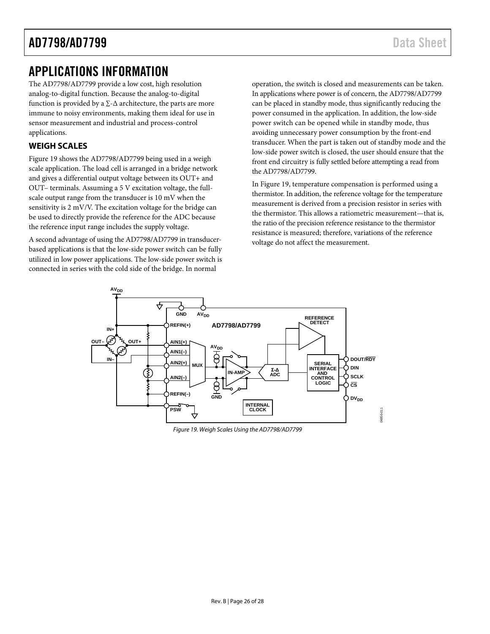# <span id="page-25-0"></span>APPLICATIONS INFORMATION

The AD7798/AD7799 provide a low cost, high resolution analog-to-digital function. Because the analog-to-digital function is provided by a  $\Sigma$ - $\Delta$  architecture, the parts are more immune to noisy environments, making them ideal for use in sensor measurement and industrial and process-control applications.

### <span id="page-25-1"></span>**WEIGH SCALES**

[Figure 19](#page-25-2) shows the AD7798/AD7799 being used in a weigh scale application. The load cell is arranged in a bridge network and gives a differential output voltage between its OUT+ and OUT– terminals. Assuming a 5 V excitation voltage, the fullscale output range from the transducer is 10 mV when the sensitivity is 2 mV/V. The excitation voltage for the bridge can be used to directly provide the reference for the ADC because the reference input range includes the supply voltage.

A second advantage of using the AD7798/AD7799 in transducerbased applications is that the low-side power switch can be fully utilized in low power applications. The low-side power switch is connected in series with the cold side of the bridge. In normal

operation, the switch is closed and measurements can be taken. In applications where power is of concern, the AD7798/AD7799 can be placed in standby mode, thus significantly reducing the power consumed in the application. In addition, the low-side power switch can be opened while in standby mode, thus avoiding unnecessary power consumption by the front-end transducer. When the part is taken out of standby mode and the low-side power switch is closed, the user should ensure that the front end circuitry is fully settled before attempting a read from the AD7798/AD7799.

I[n Figure 19,](#page-25-2) temperature compensation is performed using a thermistor. In addition, the reference voltage for the temperature measurement is derived from a precision resistor in series with the thermistor. This allows a ratiometric measurement—that is, the ratio of the precision reference resistance to the thermistor resistance is measured; therefore, variations of the reference voltage do not affect the measurement.



<span id="page-25-2"></span>*Figure 19. Weigh Scales Using the AD7798/AD7799*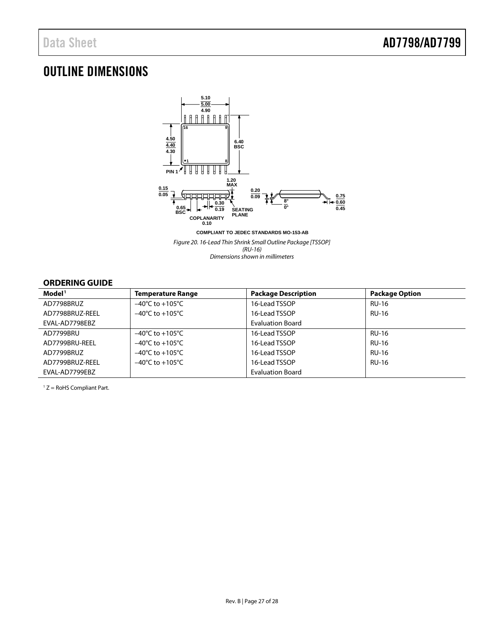# <span id="page-26-0"></span>OUTLINE DIMENSIONS



*Figure 20. 16-Lead Thin Shrink Small Outline Package [TSSOP] (RU-16) Dimensions shown in millimeters*

### <span id="page-26-1"></span>**ORDERING GUIDE**

| Model <sup>1</sup> | <b>Temperature Range</b>            | <b>Package Description</b> | <b>Package Option</b> |
|--------------------|-------------------------------------|----------------------------|-----------------------|
| AD7798BRUZ         | $-40^{\circ}$ C to $+105^{\circ}$ C | 16-Lead TSSOP              | <b>RU-16</b>          |
| AD7798BRUZ-REEL    | $-40^{\circ}$ C to $+105^{\circ}$ C | 16-Lead TSSOP              | <b>RU-16</b>          |
| EVAL-AD7798EBZ     |                                     | <b>Evaluation Board</b>    |                       |
| AD7799BRU          | $-40^{\circ}$ C to $+105^{\circ}$ C | 16-Lead TSSOP              | <b>RU-16</b>          |
| AD7799BRU-REEL     | $-40^{\circ}$ C to $+105^{\circ}$ C | 16-Lead TSSOP              | <b>RU-16</b>          |
| AD7799BRUZ         | $-40^{\circ}$ C to $+105^{\circ}$ C | 16-Lead TSSOP              | <b>RU-16</b>          |
| AD7799BRUZ-REEL    | $-40^{\circ}$ C to $+105^{\circ}$ C | 16-Lead TSSOP              | <b>RU-16</b>          |
| EVAL-AD7799EBZ     |                                     | <b>Evaluation Board</b>    |                       |

 $1 Z =$  RoHS Compliant Part.